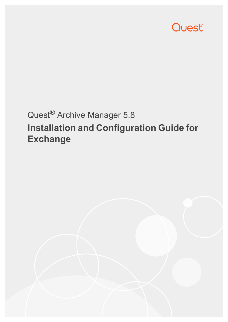

# Quest® Archive Manager 5.8 **Installation and Configuration Guide for Exchange**

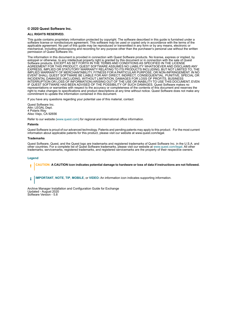#### **© 2020 Quest Software Inc.**

#### **ALL RIGHTS RESERVED.**

This guide contains proprietary information protected by copyright. The software described in this guide is furnished under a software license or nondisclosure agreement. This software may be used or copied only in accordance with the terms of the applicable agreement. No part of this guide may be reproduced or transmitted in any form or by any means, electronic or mechanical, including photocopying and recording for any purpose other than the purchaser's personal use without the written permission of Quest Software Inc.

The information in this document is provided in connection with Quest Software products. No license, express or implied, by estoppel or otherwise, to any intellectual property right is granted by this document or in connection with the sale of Quest<br>Software products. EXCEPT AS SET FORTH IN THE TERMS AND CONDITIONS AS SPECIFIED IN THE LICENSE<br>A EXPRESS, IMPLIED OR STATUTORY WARRANTY RELATING TO ITS PRODUCTS INCLUDING, BUT NOT LIMITED TO, THE IMPLIED WARRANTY OF MERCHANTABILITY, FITNESS FOR A PARTICULAR PURPOSE, OR NON-INFRINGEMENT. IN NO EVENT SHALL QUEST SOFTWARE BE LIABLE FOR ANY DIRECT, INDIRECT, CONSEQUENTIAL, PUNITIVE, SPECIAL OR INCIDENTAL DAMAGES (INCLUDING, WITHOUT LIMITATION, DAMAGES FOR LOSS OF PROFITS, BUSINESS<br>INTERRUPTION OR LOSS OF INFORMATION) ARISING OUT OF THE USE OR INABILITY TO USE THIS DOCUMENT, EVEN IF QUEST SOFTWARE HAS BEEN ADVISED OF THE POSSIBILITY OF SUCH DAMAGES. Quest Software makes no representations or warranties with respect to the accuracy or completeness of the contents of this document and reserves the right to make changes to specifications and product descriptions at any time without notice. Quest Software does not make any commitment to update the information contained in this document.

If you have any questions regarding your potential use of this material, contact:

Quest Software Inc. Attn: LEGAL Dept. 4 Polaris Way Aliso Viejo, CA 92656

Refer to our website [\(www.quest.com](http://www.quest.com)) for regional and international office information.

#### **Patents**

Quest Software is proud of our advanced technology. Patents and pending patents may apply to this product. For the most current information about applicable patents for this product, please visit our website at www.quest.com/legal.

#### **Trademarks**

Quest Software, Quest, and the Quest logo are trademarks and registered trademarks of Quest Software Inc. in the U.S.A. and other countries. For a complete list of Quest Software trademarks, please visit our website at [www.quest.com/legal](http://www.quest.com/legal). All other trademarks, servicemarks, registered trademarks, and registered servicemarks are the property of their respective owners.

#### **Legend**

**CAUTION: A CAUTION icon indicates potential damage to hardware or loss of data if instructions are not followed.** ţ

**IMPORTANT**, **NOTE**, **TIP**, **MOBILE**, or **VIDEO:** An information icon indicates supporting information.i

Archive Manager Installation and Configuration Guide for Exchange Updated - August 2020 Software Version - 5.8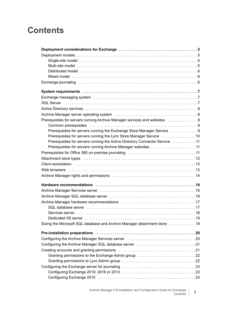## **Contents**

| Distributed model with contact to contact the contact of the contact of the contact of the contact of the contact of the contact of the contact of the contact of the contact of the contact of the contact of the contact of |
|-------------------------------------------------------------------------------------------------------------------------------------------------------------------------------------------------------------------------------|
|                                                                                                                                                                                                                               |
|                                                                                                                                                                                                                               |
|                                                                                                                                                                                                                               |
|                                                                                                                                                                                                                               |
|                                                                                                                                                                                                                               |
|                                                                                                                                                                                                                               |
|                                                                                                                                                                                                                               |
| Prerequisites for servers running Archive Manager services and websites  9                                                                                                                                                    |
|                                                                                                                                                                                                                               |
|                                                                                                                                                                                                                               |
| Prerequisites for servers running the Lync Store Manager Service  10                                                                                                                                                          |
| Prerequisites for servers running the Active Directory Connector Service  11                                                                                                                                                  |
| Prerequisites for servers running Archive Manager websites  11                                                                                                                                                                |
|                                                                                                                                                                                                                               |
|                                                                                                                                                                                                                               |
|                                                                                                                                                                                                                               |
|                                                                                                                                                                                                                               |
|                                                                                                                                                                                                                               |
|                                                                                                                                                                                                                               |
|                                                                                                                                                                                                                               |
|                                                                                                                                                                                                                               |
|                                                                                                                                                                                                                               |
|                                                                                                                                                                                                                               |
|                                                                                                                                                                                                                               |
|                                                                                                                                                                                                                               |
| Sizing the Microsoft SQL database and Archive Manager attachment store 19                                                                                                                                                     |
|                                                                                                                                                                                                                               |
|                                                                                                                                                                                                                               |
|                                                                                                                                                                                                                               |
|                                                                                                                                                                                                                               |
|                                                                                                                                                                                                                               |
|                                                                                                                                                                                                                               |
|                                                                                                                                                                                                                               |
|                                                                                                                                                                                                                               |
|                                                                                                                                                                                                                               |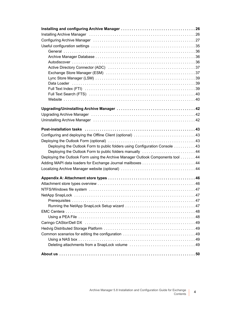| Installing Archive Manager (and all and all and all and all and all and all and all and all and all and all a  |
|----------------------------------------------------------------------------------------------------------------|
| Configuring Archive Manager (and all and all and all and all and all and all and all and all and all and all a |
|                                                                                                                |
|                                                                                                                |
|                                                                                                                |
|                                                                                                                |
|                                                                                                                |
|                                                                                                                |
|                                                                                                                |
|                                                                                                                |
|                                                                                                                |
|                                                                                                                |
|                                                                                                                |
|                                                                                                                |
|                                                                                                                |
|                                                                                                                |
|                                                                                                                |
|                                                                                                                |
| Configuring and deploying the Offline Client (optional)  43                                                    |
|                                                                                                                |
| Deploying the Outlook Form to public folders using Configuration Console  43                                   |
| Deploying the Outlook Form to public folders manually  44                                                      |
| Deploying the Outlook Form using the Archive Manager Outlook Components tool 44                                |
|                                                                                                                |
|                                                                                                                |
|                                                                                                                |
|                                                                                                                |
|                                                                                                                |
|                                                                                                                |
|                                                                                                                |
|                                                                                                                |
|                                                                                                                |
|                                                                                                                |
|                                                                                                                |
|                                                                                                                |
|                                                                                                                |
|                                                                                                                |
|                                                                                                                |
|                                                                                                                |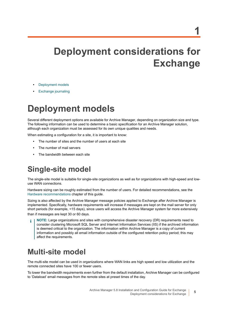# <span id="page-4-0"></span>**Deployment considerations for Exchange**

- **•** [Deployment models](#page-4-1)
- **•** [Exchange journaling](#page-5-2)

# <span id="page-4-1"></span>**Deployment models**

Several different deployment options are available for Archive Manager, depending on organization size and type. The following information can be used to determine a basic specification for an Archive Manager solution, although each organization must be assessed for its own unique qualities and needs.

When estimating a configuration for a site, it is important to know:

- **•** The number of sites and the number of users at each site
- **•** The number of mail servers
- **•** The bandwidth between each site

## <span id="page-4-2"></span>**Single-site model**

The single-site model is suitable for single-site organizations as well as for organizations with high-speed and lowuse WAN connections.

Hardware sizing can be roughly estimated from the number of users. For detailed recommendations, see the [Hardware recommendations](#page-15-3) chapter of this guide.

Sizing is also affected by the Archive Manager message policies applied to Exchange after Archive Manager is implemented. Specifically, hardware requirements will increase if messages are kept on the mail server for only short periods (for example, <15 days), since users will access the Archive Manager system far more extensively than if messages are kept 30 or 60 days.

**NOTE:** Large organizations and sites with comprehensive disaster recovery (DR) requirements need to consider clustering Microsoft SQL Server and Internet Information Services (IIS) if the archived information is deemed critical to the organization. The information within Archive Manager is a copy of current information and possibly all email information outside of the configured retention policy period; this may affect the requirements.

## <span id="page-4-3"></span>**Multi-site model**

The multi-site model can be used in organizations where WAN links are high speed and low utilization and the remote connected sites have 100 or fewer users.

To lower the bandwidth requirements even further from the default installation, Archive Manager can be configured to 'Dataload' email messages from the remote sites at preset times of the day.

**5**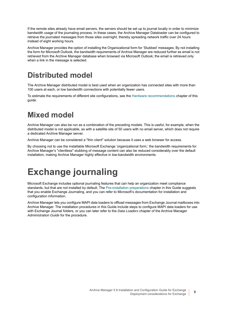If the remote sites already have email servers, the servers should be set up to journal locally in order to minimize bandwidth usage of the journaling process. In these cases, the Archive Manager Dataloader can be configured to retrieve the journaled messages from those sites overnight, thereby spreading network traffic over 24 hours instead of eight working hours.

Archive Manager provides the option of installing the Organizational form for 'Stubbed' messages. By not installing the form for Microsoft Outlook, the bandwidth requirements of Archive Manager are reduced further as email is not retrieved from the Archive Manager database when browsed via Microsoft Outlook; the email is retrieved only when a link in the message is selected.

## <span id="page-5-0"></span>**Distributed model**

The Archive Manager distributed model is best used when an organization has connected sites with more than 100 users at each, or low bandwidth connections with potentially fewer users.

To estimate the requirements of different site configurations, see the [Hardware recommendations](#page-15-3) chapter of this guide.

## <span id="page-5-1"></span>**Mixed model**

Archive Manager can also be run as a combination of the preceding models. This is useful, for example, when the distributed model is not applicable, as with a satellite site of 50 users with no email server, which does not require a dedicated Archive Manager server.

Archive Manager can be considered a "thin client" solution because it uses a web browser for access.

By choosing not to use the installable Microsoft Exchange 'organizational form,' the bandwidth requirements for Archive Manager's "clientless" stubbing of message content can also be reduced considerably over the default installation, making Archive Manager highly effective in low-bandwidth environments.

# <span id="page-5-2"></span>**Exchange journaling**

Microsoft Exchange includes optional journaling features that can help an organization meet compliance standards, but that are not installed by default. The [Pre-installation preparations](#page-19-2) chapter in this Guide suggests that you enable Exchange Journaling, and you can refer to Microsoft's documentation for installation and configuration information.

Archive Manager lets you configure MAPI data loaders to offload messages from Exchange Journal mailboxes into Archive Manager. The installation procedures in this Guide include steps to configure MAPI data loaders for use with Exchange Journal folders, or you can later refer to the *Data Loaders* chapter of the Archive Manager *Administration Guide* for the procedure.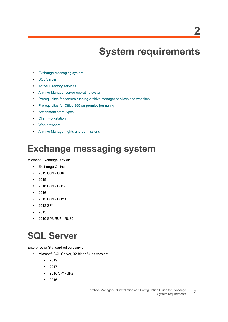# <span id="page-6-3"></span>**System requirements**

- <span id="page-6-0"></span>**•** [Exchange messaging system](#page-6-1)
- **•** [SQL Server](#page-6-2)
- **•** [Active Directory services](#page-7-0)
- **•** [Archive Manager server operating system](#page-7-1)
- **•** [Prerequisites for servers running Archive Manager services and websites](#page-8-0)
- **•** [Prerequisites for Office 365 on-premise journaling](#page-10-2)
- **•** [Attachment store types](#page-11-0)
- **•** [Client workstation](#page-12-0)
- **•** [Web browsers](#page-12-1)
- **•** [Archive Manager rights and permissions](#page-13-0)

# <span id="page-6-1"></span>**Exchange messaging system**

### Microsoft Exchange, any of:

- **•** Exchange Online
- **•** 2019 CU1 CU6
- **•** 2019
- **•** 2016 CU1 CU17
- **•** 2016
- **•** 2013 CU1 CU23
- **•** 2013 SP1
- **•** 2013
- **•** 2010 SP3 RU5 RU30

# <span id="page-6-2"></span>**SQL Server**

Enterprise or Standard edition, any of:

- **•** Microsoft SQL Server, 32-bit or 64-bit version:
	- **•** 2019
	- **•** 2017
	- **•** 2016 SP1- SP2
	- **•** 2016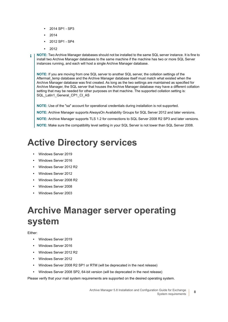- **•** 2014 SP1 SP3
- **•** 2014
- **•** 2012 SP1 SP4
- **•** 2012
- **NOTE:** Two Archive Manager databases should not be installed to the same SQL server instance. It is fine to ÷ install two Archive Manager databases to the same machine if the machine has two or more SQL Server instances running, and each will host a single Archive Manager database.

**NOTE:** If you are moving from one SQL server to another SQL server, the collation settings of the Aftermail temp database and the Archive Manager database itself must match what existed when the Archive Manager database was first created. As long as the two settings are maintained as specified for Archive Manager, the SQL server that houses the Archive Manager database may have a different collation setting that may be needed for other purposes on that machine. The supported collation setting is: SQL\_Latin1\_General\_CP1\_CI\_AS

**NOTE:** Use of the "sa" account for operational credentials during installation is not supported.

**NOTE:** Archive Manager supports AlwaysOn Availability Groups for SQL Server 2012 and later versions.

**NOTE:** Archive Manager supports TLS 1.2 for connections to SQL Server 2008 R2 SP3 and later versions.

**NOTE:** Make sure the compatibility level setting in your SQL Server is not lower than SQL Server 2008.

# <span id="page-7-0"></span>**Active Directory services**

- **•** Windows Server 2019
- **•** Windows Server 2016
- **•** Windows Server 2012 R2
- **•** Windows Server 2012
- **•** Windows Server 2008 R2
- **•** Windows Server 2008
- **•** Windows Server 2003

# <span id="page-7-1"></span>**Archive Manager server operating system**

### Either:

- **•** Windows Server 2019
- **•** Windows Server 2016
- **•** Windows Server 2012 R2
- **•** Windows Server 2012
- **•** Windows Server 2008 R2 SP1 or RTM (will be deprecated in the next release)
- **•** Windows Server 2008 SP2, 64-bit version (will be deprecated in the next release)

Please verify that your mail system requirements are supported on the desired operating system.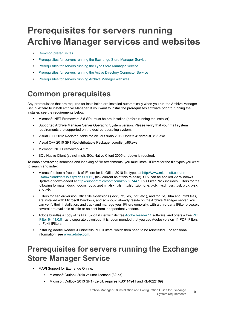# <span id="page-8-0"></span>**Prerequisites for servers running Archive Manager services and websites**

- **•** [Common prerequisites](#page-8-1)
- **•** [Prerequisites for servers running the Exchange Store Manager Service](#page-8-2)
- **•** [Prerequisites for servers running the Lync Store Manager Service](#page-9-0)
- **•** [Prerequisites for servers running the Active Directory Connector Service](#page-10-0)
- **•** [Prerequisites for servers running Archive Manager websites](#page-10-1)

## <span id="page-8-1"></span>**Common prerequisites**

Any prerequisites that are required for installation are installed automatically when you run the Archive Manager Setup Wizard to install Archive Manager. If you want to install the prerequisites software prior to running the installer, see the requirements below.

- **•** Microsoft .NET Framework 3.5 SP1 must be pre-installed (before running the installer).
- **•** Supported Archive Manager Server Operating System version. Please verify that your mail system requirements are supported on the desired operating system.
- **•** Visual C++ 2012 Redistributable for Visual Studio 2012 Update 4: vcredist\_x86.exe
- **•** Visual C++ 2010 SP1 Redistributable Package: vcredist\_x86.exe
- **•** Microsoft .NET Framework 4.5.2
- **•** SQL Native Client (sqlncli.msi). SQL Native Client 2005 or above is required.

To enable text-string searches and indexing of file attachments, you must install IFilters for the file types you want to search and index:

- **•** Microsoft offers a free pack of IFilters for its Office 2010 file types at [http://www.microsoft.com/en](http://www.microsoft.com/en-us/download/details.aspx?id=17062)[us/download/details.aspx?id=17062](http://www.microsoft.com/en-us/download/details.aspx?id=17062), (link current as of this release). SP2 can be applied via Windows Update or downloaded a[t http://support.microsoft.com/kb/2687447](http://support.microsoft.com/kb/2687447). This Filter Pack includes IFilters for the following formats: .docx, .docm, .pptx, .pptm, .xlsx, .xlsm, .xlsb, .zip, .one, .vdx, .vsd, .vss, .vst, .vdx, .vsx, and .vtx.
- **•** IFilters for earlier-version Office file extensions (.doc, .rtf, .xls, .ppt, etc.), and for .txt, .htm and .html files, are installed with Microsoft Windows, and so should already reside on the Archive Manager server. You can verify their installation, and track and manage your IFilters generally, with a third-party IFilter browser; several are available at little or no cost from independent vendors.
- **•** Adobe bundles a copy of its PDF 32-bit iFilter with its free [Adobe Reader 11](http://www.adobe.com/reader) software, and offers a free [PDF](http://www.adobe.com/support/downloads/detail.jsp?ftpID=5542)  [iFilter 64 11.0.01](http://www.adobe.com/support/downloads/detail.jsp?ftpID=5542) as a separate download. It is recommended that you use Adobe version 11 PDF IFilters, or FoxIt IFilters.
- **•** Installing Adobe Reader X uninstalls PDF iFilters, which then need to be reinstalled. For additional information, see [www.adobe.com](http://www.adobe.com).

## <span id="page-8-2"></span>**Prerequisites for servers running the Exchange Store Manager Service**

- **•** MAPI Support for Exchange Online:
	- **▪** Microsoft Outlook 2019 volume licensed (32-bit)
	- **▪** Microsoft Outlook 2013 SP1 (32-bit, requires KB3114941 and KB4022169)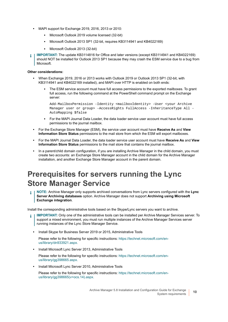- **•** MAPI support for Exchange 2019, 2016, 2013 or 2010:
	- **▪** Microsoft Outlook 2019 volume licensed (32-bit)
	- **▪** Microsoft Outlook 2013 SP1 (32-bit, requires KB3114941 and KB4022169)
	- **▪** Microsoft Outlook 2013 (32-bit)
- **IMPORTANT:** The update KB3114816 for Office and later versions (except KB3114941 and KB4022169) should NOT be installed for Outlook 2013 SP1 because they may crash the ESM service due to a bug from Microsoft.

### **Other considerations:**

- **•** When Exchange 2019, 2016 or 2013 works with Outlook 2019 or Outlook 2013 SP1 (32-bit, with KB3114941 and KB4022169 installed), and MAPI over HTTP is enabled on both ends:
	- **▪** The ESM service account must have full access permissions to the exported mailboxes. To grant full access, run the following command at the PowerShell command prompt on the Exchange server:

Add-MailboxPermission -Identity <mailboxIdentity> -User <your Archive Manager user or group> -AccessRights FullAccess -InheritanceType All -AutoMapping \$false

- **▪** For the MAPI Journal Data Loader, the data loader service user account must have full access permissions to the journal mailbox.
- **•** For the Exchange Store Manager (ESM), the service user account must have **Receive As** and **View Information Store Status** permissions to the mail store from which the ESM will export mailboxes.
- **•** For the MAPI Journal Data Loader, the data loader service user account must have **Receive As** and **View Information Store Status** permissions to the mail store that contains the journal mailbox.
- **•** In a parent/child domain configuration, if you are installing Archive Manager in the child domain, you must create two accounts: an Exchange Store Manager account in the child domain for the Archive Manager installation, and another Exchange Store Manager account in the parent domain.

## <span id="page-9-0"></span>**Prerequisites for servers running the Lync Store Manager Service**

**NOTE:** Archive Manager only supports archived conversations from Lync servers configured with the **Lync**  ÷ **Server Archiving databases** option. Archive Manager does not support **Archiving using Microsoft Exchange integration**.

Install the corresponding administrative tools based on the Skype/Lync servers you want to archive.

- **IMPORTANT:** Only one of the administrative tools can be installed per Archive Manager Services server. To ÷ support a mixed environment, you must run multiple instances of the Archive Manager Services server running instances of the Lync Store Manager Service.
	- **•** Install Skype for Business Server 2019 or 2015, Administrative Tools

Please refer to the following for specific instructions: [https://technet.microsoft.com/en](https://technet.microsoft.com/en-us/library/dn933921.aspx)[us/library/dn933921.aspx.](https://technet.microsoft.com/en-us/library/dn933921.aspx)

**•** Install Microsoft Lync Server 2013, Administrative Tools

Please refer to the following for specific instructions: [https://technet.microsoft.com/en](https://technet.microsoft.com/en-us/library/gg398665.aspx)[us/library/gg398665.aspx.](https://technet.microsoft.com/en-us/library/gg398665.aspx)

**•** Install Microsoft Lync Server 2010, Administrative Tools

Please refer to the following for specific instructions: [https://technet.microsoft.com/en](https://technet.microsoft.com/en-us/library/gg398665(v=ocs.14).aspx)[us/library/gg398665\(v=ocs.14\).aspx.](https://technet.microsoft.com/en-us/library/gg398665(v=ocs.14).aspx)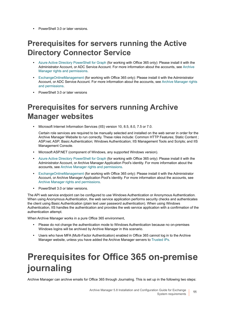**•** PowerShell 3.0 or later versions.

## <span id="page-10-0"></span>**Prerequisites for servers running the Active Directory Connector Service**

- **•** [Azure Active Directory PowerShell for Graph](https://docs.microsoft.com/en-us/powershell/azure/active-directory/install-adv2?view=azureadps-2.0) (for working with Office 365 only): Please install it with the Administrator Account, or ADC Service Account. For more information about the accounts, see [Archive](#page-13-0)  [Manager rights and permissions.](#page-13-0)
- **•** [ExchangeOnlineManagement](https://www.powershellgallery.com/packages/ExchangeOnlineManagement) (for working with Office 365 only): Please install it with the Administrator Account, or ADC Service Account. For more information about the accounts, see [Archive Manager rights](#page-13-0)  [and permissions](#page-13-0).
- **•** PowerShell 3.0 or later versions

## <span id="page-10-1"></span>**Prerequisites for servers running Archive Manager websites**

**•** Microsoft Internet Information Services (IIS) version 10, 8.5, 8.0, 7.5 or 7.0.

Certain role services are required to be manually selected and installed on the web server in order for the Archive Manager Website to run correctly. These roles include: Common HTTP Features; Static Content ; ASP.net; ASP; Basic Authentication; Windows Authentication; IIS Management Tools and Scripts; and IIS Management Console.

- **•** Microsoft ASP.NET (component of Windows, any supported Windows version).
- **•** [Azure Active Directory PowerShell for Graph](https://docs.microsoft.com/en-us/powershell/azure/active-directory/install-adv2?view=azureadps-2.0) (for working with Office 365 only): Please install it with the Administrator Account, or Archive Manager Application Pool's identity. For more information about the accounts, see [Archive Manager rights and permissions](#page-13-0).
- **•** [ExchangeOnlineManagement](https://www.powershellgallery.com/packages/ExchangeOnlineManagement) (for working with Office 365 only): Please install it with the Administrator Account, or Archive Manager Application Pool's identity. For more information about the accounts, see [Archive Manager rights and permissions](#page-13-0).
- **•** PowerShell 3.0 or later versions.

The API web service endpoint can be configured to use Windows Authentication or Anonymous Authentication. When using Anonymous Authentication, the web service application performs security checks and authenticates the client using Basic Authentication (plain text user password authentication). When using Windows Authentication, IIS handles the authentication and provides the web service application with a confirmation of the authentication attempt.

When Archive Manager works in a pure Office 365 environment,

- **•** Please do not change the authentication mode to Windows Authentication because no on-premises Windows logins will be archived by Archive Manager in this scenario.
- **•** Users who have MFA (Multi-Factor Authentication) enabled in Office 365 cannot log in to the Archive Manager website, unless you have added the Archive Manager servers to [Trusted IPs.](https://docs.microsoft.com/en-us/azure/active-directory/authentication/howto-mfa-mfasettings#trusted-ips)

# <span id="page-10-2"></span>**Prerequisites for Office 365 on-premise journaling**

Archive Manager can archive emails for Office 365 through Journaling. This is set up in the following two steps: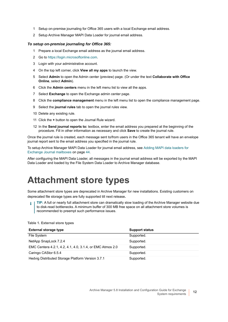- 1 Setup on-premise journaling for Office 365 users with a local Exchange email address.
- 2 Setup Archive Manager MAPI Data Loader for journal email address.

### *To setup on-premise journaling for Office 365:*

- 1 Prepare a local Exchange email address as the journal email address.
- 2 Go to [https://login.microsoftonline.com.](https://login.microsoftonline.com)
- 3 Login with your administrative account.
- 4 On the top left corner, click **View all my apps** to launch the view.
- 5 Select **Admin** to open the Admin center (preview) page. (Or under the text **Collaborate with Office Online**, select **Admin**).
- 6 Click the **Admin centers** menu in the left menu list to view all the apps.
- 7 Select **Exchange** to open the Exchange admin center page.
- 8 Click the **compliance management** menu in the left menu list to open the compliance management page.
- 9 Select the **journal rules** tab to open the journal rules view.
- 10 Delete any existing rule.
- 11 Click the **+** button to open the Journal Rule wizard.
- 12 In the **Send journal reports to:** textbox, enter the email address you prepared at the beginning of the procedure. Fill in other information as necessary and click **Save** to create the journal rule.

Once the journal rule is created, each message sent to/from users in the Office 365 tenant will have an envelope journal report sent to the email address you specified in the journal rule.

To setup Archive Manager MAPI Data Loader for journal email address, see [Adding MAPI data loaders for](#page-43-4)  [Exchange Journal mailboxes on page 44](#page-43-4).

After configuring the MAPI Data Loader, all messages in the journal email address will be exported by the MAPI Data Loader and loaded by the File System Data Loader to Archive Manager database.

# <span id="page-11-0"></span>**Attachment store types**

Some attachment store types are deprecated in Archive Manager for new installations. Existing customers on deprecated file storage types are fully supported till next release**.**

**TIP:** A full or nearly full attachment store can dramatically slow loading of the Archive Manager website due ÷. to disk-read bottlenecks. A minimum buffer of 300 MB free space on all attachment store volumes is recommended to preempt such performance issues.

| <b>External storage type</b>                              | <b>Support status</b> |
|-----------------------------------------------------------|-----------------------|
| File System                                               | Supported.            |
| NetApp SnapLock 7.2.4                                     | Supported.            |
| EMC Centera 4.2.1, 4.2, 4.1, 4.0, 3.1.4, or EMC Atmos 2.0 | Supported.            |
| Caringo CAStor 6.5.4                                      | Supported.            |
| Hedvig Distributed Storage Platform Version 3.7.1         | Supported.            |

#### **Table 1. External store types**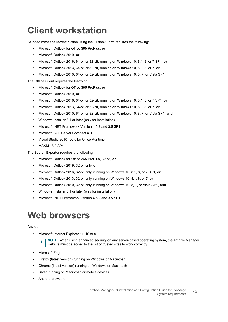# <span id="page-12-0"></span>**Client workstation**

Stubbed message reconstruction using the Outlook Form requires the following:

- **•** Microsoft Outlook for Office 365 ProPlus, **or**
- **•** Microsoft Outlook 2019, **or**
- **•** Microsoft Outlook 2016, 64-bit or 32-bit, running on Windows 10, 8.1, 8, or 7 SP1, **or**
- **•** Microsoft Outlook 2013, 64-bit or 32-bit, running on Windows 10, 8.1, 8, or 7, **or**
- **•** Microsoft Outlook 2010, 64-bit or 32-bit, running on Windows 10, 8, 7, or Vista SP1

The Offline Client requires the following:

- **•** Microsoft Outlook for Office 365 ProPlus, **or**
- **•** Microsoft Outlook 2019, **or**
- **•** Microsoft Outlook 2016, 64-bit or 32-bit, running on Windows 10, 8.1, 8, or 7 SP1, **or**
- **•** Microsoft Outlook 2013, 64-bit or 32-bit, running on Windows 10, 8.1, 8, or 7, **or**
- **•** Microsoft Outlook 2010, 64-bit or 32-bit, running on Windows 10, 8, 7, or Vista SP1, **and**
- **•** Windows Installer 3.1 or later (only for installation).
- **•** Microsoft .NET Framework Version 4.5.2 and 3.5 SP1.
- **•** Microsoft SQL Server Compact 4.0
- **•** Visual Studio 2010 Tools for Office Runtime
- **•** MSXML 6.0 SP1

The Search Exporter requires the following:

- **•** Microsoft Outlook for Office 365 ProPlus, 32-bit, **or**
- **•** Microsoft Outlook 2019, 32-bit only, **or**
- **•** Microsoft Outlook 2016, 32-bit only, running on Windows 10, 8.1, 8, or 7 SP1, **or**
- **•** Microsoft Outlook 2013, 32-bit only, running on Windows 10, 8.1, 8, or 7, **or**
- **•** Microsoft Outlook 2010, 32-bit only, running on Windows 10, 8, 7, or Vista SP1, **and**
- **•** Windows Installer 3.1 or later (only for installation)
- **•** Microsoft .NET Framework Version 4.5.2 and 3.5 SP1.

## <span id="page-12-1"></span>**Web browsers**

### Any of:

**•** Microsoft Internet Explorer 11, 10 or 9

**NOTE:** When using enhanced security on any server-based operating system, the Archive Manager ÷ website must be added to the list of trusted sites to work correctly.

- **•** Microsoft Edge
- **•** Firefox (latest version) running on Windows or Macintosh
- **•** Chrome (latest version) running on Windows or Macintosh
- **•** Safari running on Macintosh or mobile devices
- **•** Android browsers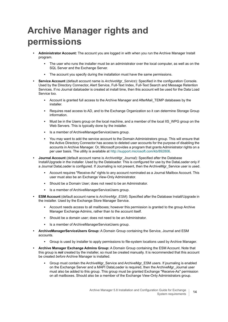# <span id="page-13-0"></span>**Archive Manager rights and permissions**

- **Administrator Account:** The account you are logged in with when you run the Archive Manager Install program.
	- The user who runs the installer must be an administrator over the local computer, as well as on the SQL Server and the Exchange Server.
	- The account you specify during the installation must have the same permissions.
- **Service Account** (default account name is *ArchiveMgr\_Service*): Specified in the configuration Console. Used by the Directory Connector, Alert Service, Full-Text Index, Full-Text Search and Message Retention Services. If no Journal dataloader is created at install time, then this account will be used for the Data Load Service too.
	- Account is granted full access to the Archive Manager and AfterMail TEMP databases by the installer.
	- Requires read access to AD, and to the Exchange Organization so it can determine Storage Group information.
	- **■** Must be in the Users group on the local machine, and a member of the local IIS WPG group on the Web Servers. This is typically done by the installer.
	- **▪** Is a member of ArchiveManagerServiceUsers group.
	- You may want to add the service account to the Domain Administrators group. This will ensure that the Active Directory Connector has access to deleted user accounts for the purpose of disabling the accounts in Archive Manager. Or, Microsoft provides a program that grants Administrator rights on a per user basis. The utility is available at <http://support.microsoft.com/kb/892806>.
- **Journal Account** (default account name is *ArchiveMgr\_Journal*): Specified after the Database Install/Upgrade in the installer. Used by the Dataloader. This is configured for use by the DataLoader only if a Journal DataLoader is configured. If Journaling is not present, then the ArchiveMgr\_Service user is used.
	- **▪** Account requires "Receive-As" rights to any account nominated as a Journal Mailbox Account. This user must also be an Exchange View-Only Administrator.
	- **▪** Should be a Domain User; does not need to be an Administrator.
	- Is a member of ArchiveManagerServiceUsers group.
- **ESM Account** (default account name is *ArchiveMgr\_ESM*): Specified after the Database Install/Upgrade in the installer. Used by the Exchange Store Manager Service.
	- **▪** Account needs access to all mailboxes; however this permission is granted to the group Archive Manager Exchange Admins, rather than to the account itself.
	- **▪** Should be a domain user; does not need to be an Administrator.
	- Is a member of ArchiveManagerServiceUsers group.
- **ArchiveManagerServiceUsers Group:** A Domain Group containing the Service, Journal and ESM accounts.
	- **▪** Group is used by installer to apply permissions to file-system locations used by Archive Manager.
- **Archive Manager Exchange Admins Group:** A Domain Group containing the ESM Account. Note that this group is *not* created by the installer, so must be created manually. It is recommended that this account be created *before* Archive Manager is installed.
	- Group must contain the ArchiveMgr\_Service and ArchiveMgr\_ESM users. If journaling is enabled on the Exchange Server and a MAPI DataLoader is required, then the ArchiveMgr\_Journal user must also be added to this group. This group must be granted Exchange "Receive-As" permission on all mailboxes. Should also be a member of the Exchange View-Only Administrators group.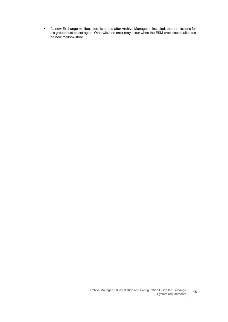**▪** If a new Exchange mailbox store is added after Archive Manager is installed, the permissions for this group must be set again. Otherwise, an error may occur when the ESM processes mailboxes in the new mailbox store.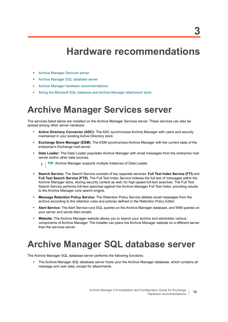# <span id="page-15-3"></span>**Hardware recommendations**

- <span id="page-15-0"></span>**•** [Archive Manager Services server](#page-15-1)
- **•** [Archive Manager SQL database server](#page-15-2)
- **•** [Archive Manager hardware recommendations](#page-16-0)
- **•** [Sizing the Microsoft SQL database and Archive Manager attachment store](#page-18-1)

## <span id="page-15-1"></span>**Archive Manager Services server**

The services listed below are installed on the Archive Manager Services server. These services can also be spread among other server hardware:

- **Active Directory Connector (ADC):** The ADC synchronizes Archive Manager with users and security maintained in your existing Active Directory store.
- **Exchange Store Manager (ESM):** The ESM synchronizes Archive Manager with the current state of the enterprise's Exchange mail server.
- **Data Loader:** The Data Loader populates Archive Manager with email messages from the enterprise mail server and/or other data sources.

**TIP:** Archive Manager supports multiple instances of Data Loader.i.

- **Search Service:** The Search Service consists of two separate services: **Full Text Index Service (FTI)** and **Full Text Search Service (FTS)**. The Full Text Index Service indexes the full text of messages within the Archive Manager store, storing security context as well, for high-speed full-text searches. The Full Text Search Service performs full-text searches against the Archive Manager Full Text Index, providing results to the Archive Manager core search engine.
- **Message Retention Policy Service:** The Retention Policy Service deletes email messages from the archive according to the retention rules and policies defined in the Retention Policy Editor.
- **Alert Service:** The Alert Service runs SQL queries on the Archive Manager database, and WMI queries on your server and sends Alert emails.
- **Website:** The Archive Manager website allows you to search your archive and administer various components of Archive Manager. The installer can place the Archive Manager website on a different server than the services server.

# <span id="page-15-2"></span>**Archive Manager SQL database server**

The Archive Manager SQL database server performs the following functions:

**•** The Archive Manager SQL database server hosts your the Archive Manager database, which contains all message and user data, except for attachments.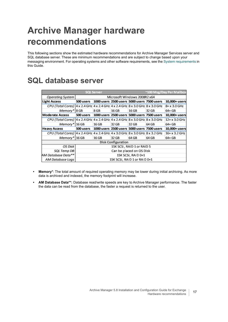# <span id="page-16-0"></span>**Archive Manager hardware recommendations**

This following sections show the estimated hardware recommendations for Archive Manager Services server and SQL database server. These are minimum recommendations and are subject to change based upon your messaging environment. For operating systems and other software requirements, see the [System requirements](#page-6-3) in this Guide.

## <span id="page-16-1"></span>**SQL database server**

| <b>SQL Server</b>                                                                   |           |                              |       |       | ~100 Msg/Day Per Mailbox                              |               |
|-------------------------------------------------------------------------------------|-----------|------------------------------|-------|-------|-------------------------------------------------------|---------------|
| Operating System                                                                    |           | Microsoft Windows 2008R2 x64 |       |       |                                                       |               |
| <b>Light Access</b>                                                                 | 500 users |                              |       |       | 1000 users 2500 users 5000 users 7500 users           | 10,000+ users |
| CPU (Total Cores)   4 x 2.4 GHz   4 x 2.4 GHz   4 x 2.4 GHz 8 x 3.0 GHz 8 x 3.0 GHz |           |                              |       |       |                                                       | 8+ x 3.0 GHz  |
| Memory* 8 GB                                                                        |           | 8 GB                         | 16 GB | 16 GB | 32 GB                                                 | 64+ GB        |
| <b>Moderate Access</b>                                                              |           |                              |       |       | 500 users 1000 users 2500 users 5000 users 7500 users | 10,000+ users |
| CPU (Total Cores)   4 x 2.4 GHz   4 x 2.4 GHz   4 x 2.4 GHz 8 x 3.0 GHz 8 x 3.0 GHz |           |                              |       |       |                                                       | 12+ x 3.0 GHz |
| Memory*   16 GB                                                                     |           | 16 GB                        | 32 GB | 32 GB | 64 GB                                                 | 64+ GB        |
| <b>Heavy Access</b>                                                                 |           |                              |       |       | 500 users 1000 users 2500 users 5000 users 7500 users | 10,000+ users |
| CPU (Total Cores)   4 x 2.4 GHz   4 x 2.4 GHz + 4 x 3.0 GHz 8 x 3.0 GHz 8 x 3.2 GHz |           |                              |       |       |                                                       | 16+ x 3.2 GHz |
| Memory* 16 GB                                                                       |           | 16 GB                        | 32 GB | 64 GB | 64 GB                                                 | 64+ GB        |
| <b>Disk Configuration</b>                                                           |           |                              |       |       |                                                       |               |
| OS Disk                                                                             |           | 15K SCSI, RAID 1 or RAID 5   |       |       |                                                       |               |
| SQL Temp DB                                                                         |           | Can be placed on OS Disk     |       |       |                                                       |               |
| AM Database Data**                                                                  |           | 15K SCSI, RAID 0+1           |       |       |                                                       |               |
| AM Database Loas                                                                    |           | 15K SCSI, RAID 1 or RAID 0+1 |       |       |                                                       |               |

- **Memory\***: The total amount of required operating memory may be lower during initial archiving. As more data is archived and indexed, the memory footprint will increase.
- **AM Database Data\*\*:** Database read/write speeds are key to Archive Manager performance. The faster the data can be read from the database, the faster a request is returned to the user.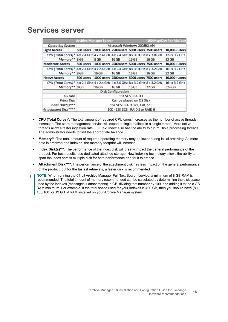## <span id="page-17-0"></span>**Services server**

|                                                                                |                                  | <b>Archive Manager Server</b>               |                                             |       |       | ~100 Msg/Day Per Mailbox |
|--------------------------------------------------------------------------------|----------------------------------|---------------------------------------------|---------------------------------------------|-------|-------|--------------------------|
| Operating System                                                               |                                  | Microsoft Windows 2008R2 x64                |                                             |       |       |                          |
| <b>Light Access</b>                                                            | 500 users                        |                                             | 1000 users 2500 users 5000 users 7500 users |       |       | 10,000+ users            |
| CPU (Total Cores)* 4 x 2.4 GHz 4 x 2.4 GHz 4 x 2.4 GHz 8 x 3.0 GHz 8 x 3.0 GHz |                                  |                                             |                                             |       |       | 12+ x 3.2 GHz            |
| Memory** 8 GB                                                                  |                                  | 8 GB                                        | 16 GB                                       | 16 GB | 16 GB | 32 GB                    |
| <b>Moderate Access</b>                                                         | 500 users                        | 1000 users 2500 users 5000 users 7500 users |                                             |       |       | 10,000+ users            |
| CPU (Total Cores)* 4 x 2.4 GHz 4 x 2.4 GHz 4 x 2.4 GHz 8 x 3.0 GHz 8 x 3.2 GHz |                                  |                                             |                                             |       |       | 16+ x 3.2 GHz            |
| Memory** 8 GB                                                                  |                                  | 16 GB                                       | 16 GB                                       | 16 GB | 16 GB | 32 GB                    |
| <b>Heavy Access</b>                                                            | 500 users                        |                                             | 1000 users 2500 users 5000 users 7500 users |       |       | 10,000+ users            |
| CPU (Total Cores)* 4 x 2.4 GHz 4 x 2.4 GHz 4 x 3.0 GHz 8 x 3.2 GHz 8 x 3.2 GHz |                                  |                                             |                                             |       |       | 16+ x 3.2 GHz            |
| Memory** 8 GB                                                                  |                                  | 16 GB                                       | 16 GB                                       | 16 GB | 32 GB | 32+ GB                   |
| <b>Disk Configuration</b>                                                      |                                  |                                             |                                             |       |       |                          |
| OS Disk                                                                        |                                  | 15K SCSI, RAID 1                            |                                             |       |       |                          |
| Work Disk                                                                      | Can be placed on OS Disk         |                                             |                                             |       |       |                          |
| Index Disk(s)***                                                               | 15K SCSI, RAID 0+1, 1+0, or 5    |                                             |                                             |       |       |                          |
| Attachment Disk****                                                            | 10K - 15K SCSI, RAID 5 or RAID 6 |                                             |                                             |       |       |                          |

- **CPU (Total Cores)\***: The total amount of required CPU cores increases as the number of active threads increases. The store management service will export a single mailbox in a single thread. More active threads allow a faster ingestion rate. Full Text Index also has the ability to run multiple processing threads. The administrator needs to find the appropriate balance.
- **Memory\*\***: The total amount of required operating memory may be lower during initial archiving. As more data is archived and indexed, the memory footprint will increase.
- **Index Disk(s)\*\*\***: The performance of the index disk will greatly impact the general performance of the product. For best results, use dedicated attached storage. New indexing technology allows the ability to span the index across multiple disk for both performance and fault tolerance.
- **Attachment Disk\*\*\*\***: The performance of the attachment disk has less impact on the general performance of the product, but for the fastest retrievals, a faster disk is recommended.
- **NOTE:** When running the 64-bit Archive Manager Full Text Search service, a minimum of 8 GB RAM is ÷ recommended. The total amount of memory recommended can be calculated by determining the disk space used by the indexes (messages + attachments) in GB, dividing that number by 100, and adding it to the 8 GB RAM minimum. For example, if the total space used for your indexes is 400 GB, then you should have (8 + 400/100) or 12 GB of RAM installed on your Archive Manager system.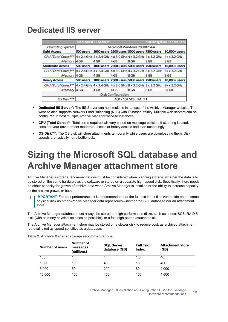## <span id="page-18-0"></span>**Dedicated IIS server**

|                                                                                           |                        | Dedicated IIS Server*        |                                             |      |      | ~100 Msg/Day Per Mailbox |
|-------------------------------------------------------------------------------------------|------------------------|------------------------------|---------------------------------------------|------|------|--------------------------|
| Operating System                                                                          |                        | Microsoft Windows 2008R2 x64 |                                             |      |      |                          |
| Light Access                                                                              | 500 users              |                              | 1000 users 2500 users 5000 users 7500 users |      |      | 10,000+ users            |
| CPU (Total Cores)**   4 x 2.4 GHz   4 x 2.4 GHz   4 x 3.0 GHz   4 x 3.2 GHz   4 x 3.2 GHz |                        |                              |                                             |      |      | 4+ x 3.2 GHz             |
| Memory   4 GB                                                                             |                        | 4 GB                         | 4 GB                                        | 8 GB | 8 GB | 8 GB                     |
| Moderate Access                                                                           | 500 users              |                              | 1000 users 2500 users 5000 users 7500 users |      |      | 10,000+ users            |
| CPU (Total Cores)**   4 x 2.4 GHz   4 x 2.4 GHz   4 x 3.0 GHz   4 x 3.2 GHz   8 x 3.2 GHz |                        |                              |                                             |      |      | 8+ x 3.2 GHz             |
| Memory   4 GB                                                                             |                        | 4 GB                         | 4 GB                                        | 8 GB | 8 GB | 8 GB                     |
| <b>Heavy Access</b>                                                                       | 500 users              |                              | 1000 users 2500 users 5000 users 7500 users |      |      | 10,000+ users            |
| CPU (Total Cores)**   4 x 2.4 GHz   4 x 2.4 GHz   4 x 3.0 GHz   8 x 3.2 GHz   8 x 3.2 GHz |                        |                              |                                             |      |      | 8+ x 3.2 GHz             |
| Memory   4 GB                                                                             |                        | 4 GB                         | 4 GB                                        | 8 GB | 8 GB | $8 + GB$                 |
| <b>Disk Configuration</b>                                                                 |                        |                              |                                             |      |      |                          |
| OS Disk***                                                                                | 10K - 15K SCSI, RAID 1 |                              |                                             |      |      |                          |

- **Dedicated IIS Server\*:** The IIS Server can host multiple instances of the Archive Manager website. The website also supports Network Load Balancing (NLB) with IP-based affinity. Multiple web servers can be configured to host multiple Archive Manager website instances.
- **CPU (Total Cores)\*\*:** Total cores required will vary based on message policies. If stubbing is used, consider your environment moderate access or heavy access and plan accordingly.
- **OS Disk\*\*\*:** The OS disk will store attachments temporarily while users are downloading them. Disk speeds are typically not a bottleneck.

# <span id="page-18-1"></span>**Sizing the Microsoft SQL database and Archive Manager attachment store**

Archive Manager's storage recommendations must be considered when planning storage, whether the data is to be stored on the same hardware as the software or stored on a separate high-speed disk. Specifically, there needs be either capacity for growth of archive data when Archive Manager is installed or the ability to increase capacity

as the archive grows, or both.

**IMPORTANT:** For best performance, it is recommended that the full-text index files **not** reside on the same ÷ physical disk as other Archive Manager data repositories—neither the SQL database nor an attachment store.

The Archive Manager database must always be stored on high performance disks, such as a local SCSI RAID 5 disk (with as many physical spindles as possible), or a fast high-speed attached disk.

The Archive Manager attachment store may be stored on a slower disk to reduce cost, as archived attachment retrieval is not as speed-sensitive as a database.

| Number of users | Number of<br>messages<br>(millions) | <b>SQL Server</b><br>database (GB) | <b>Full Text</b><br>Index | <b>Attachment store</b><br>(GB) |
|-----------------|-------------------------------------|------------------------------------|---------------------------|---------------------------------|
| 100             |                                     | 4                                  | 1.6                       | 40                              |
| 1,000           | 10                                  | 40                                 | 16                        | 400                             |
| 5,000           | 50                                  | 200                                | 80                        | 2,000                           |
| 10,000          | 100                                 | 400                                | 160                       | 4,000                           |

**Table 2. Archive Manager storage recommendations**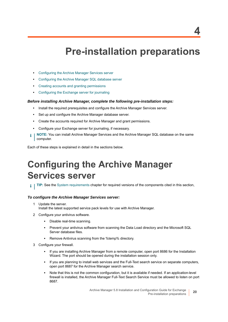# <span id="page-19-2"></span>**Pre-installation preparations**

- <span id="page-19-0"></span>**•** [Configuring the Archive Manager Services server](#page-19-1)
- **•** [Configuring the Archive Manager SQL database server](#page-20-0)
- **•** [Creating accounts and granting permissions](#page-20-1)
- **•** [Configuring the Exchange server for journaling](#page-22-0)

### *Before installing Archive Manager, complete the following pre-installation steps:*

- **•** Install the required prerequisites and configure the Archive Manager Services server.
- **•** Set up and configure the Archive Manager database server.
- **•** Create the accounts required for Archive Manager and grant permissions.
- **•** Configure your Exchange server for journaling, if necessary.
- **NOTE:** You can install Archive Manager Services and the Archive Manager SQL database on the same f computer.

Each of these steps is explained in detail in the sections below.

# <span id="page-19-1"></span>**Configuring the Archive Manager Services server**

**TIP:** See the System requirements chapter for required versions of the components cited in this section,

### *To configure the Archive Manager Services server:*

- 1 Update the server. Install the latest supported service pack levels for use with Archive Manager.
- 2 Configure your antivirus software.
	- **▪** Disable real-time scanning.
	- **▪** Prevent your antivirus software from scanning the Data Load directory and the Microsoft SQL Server database files.
	- **▪** Remove Antivirus scanning from the %temp% directory.
- 3 Configure your firewall.
	- **▪** If you are installing Archive Manager from a remote computer, open port 8686 for the Installation Wizard. The port should be opened during the installation session only.
	- If you are planning to install web services and the Full-Text search service on separate computers, open port 8687 for the Archive Manager search service.
	- **▪** Note that this is not the common configuration, but it is available if needed. If an application-level firewall is installed, the Archive Manager Full-Text Search Service must be allowed to listen on port 8687.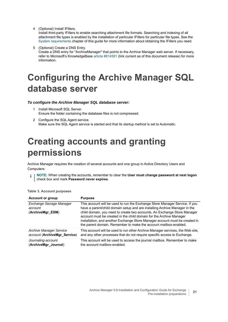4 (Optional) Install IFilters.

Install third-party IFilters to enable searching attachment file formats. Searching and indexing of all attachment file types is enabled by the installation of particular IFilters for particular file types. See the System requirements chapter of this guide for more information about obtaining the IFilters you need.

5 (Optional) Create a DNS Entry.

Create a DNS entry for "ArchiveManager" that points to the Archive Manager web server. If necessary, refer to Microsoft's KnowledgeBase [article #814591](http://support.microsoft.com/kb/814591) (link current as of this document release) for more information.

# <span id="page-20-0"></span>**Configuring the Archive Manager SQL database server**

### *To configure the Archive Manager SQL database server:*

- 1 Install Microsoft SQL Server. Ensure the folder containing the database files is not compressed.
- 2 Configure the SQL Agent service. Make sure the SQL Agent service is started and that its startup method is set to Automatic.

# <span id="page-20-1"></span>**Creating accounts and granting permissions**

Archive Manager requires the creation of several accounts and one group in Active Directory Users and Computers:

**NOTE:** When creating the accounts, remember to clear the **User must change password at next logon** i check box and mark **Password never expires**.

| <b>Account or group</b>                                 | <b>Purpose</b>                                                                                                                                                                                                                                                                                                                                                                                                                                                  |
|---------------------------------------------------------|-----------------------------------------------------------------------------------------------------------------------------------------------------------------------------------------------------------------------------------------------------------------------------------------------------------------------------------------------------------------------------------------------------------------------------------------------------------------|
| Exchange Storage Manager<br>account<br>(ArchiveMgr ESM) | This account will be used to run the Exchange Store Manager Service. If you<br>have a parent/child domain setup and are installing Archive Manager in the<br>child domain, you need to create two accounts. An Exchange Store Manager<br>account must be created in the child domain for the Archive Manager<br>installation, and another Exchange Store Manager account must be created in<br>the parent domain. Remember to make the account mailbox-enabled. |
| <b>Archive Manager Service</b>                          | This account will be used to run other Archive Manager services, the Web site,                                                                                                                                                                                                                                                                                                                                                                                  |
| account (ArchiveMgr_Service)                            | and any other processes that do not require specific access to Exchange.                                                                                                                                                                                                                                                                                                                                                                                        |
| Journaling account                                      | This account will be used to access the journal mailbox. Remember to make                                                                                                                                                                                                                                                                                                                                                                                       |
| (ArchiveMgr_Journal)                                    | the account mailbox-enabled.                                                                                                                                                                                                                                                                                                                                                                                                                                    |

#### **Table 3. Account purposes**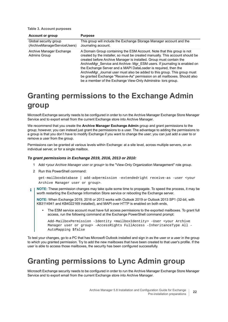**Table 3. Account purposes**

| <b>Account or group</b>                               | <b>Purpose</b>                                                                                                                                                                                                                                                                                                                                                                                                                                                                                                                                                                                           |
|-------------------------------------------------------|----------------------------------------------------------------------------------------------------------------------------------------------------------------------------------------------------------------------------------------------------------------------------------------------------------------------------------------------------------------------------------------------------------------------------------------------------------------------------------------------------------------------------------------------------------------------------------------------------------|
| Global security group<br>(ArchiveManagerServiceUsers) | This group will include the Exchange Storage Manager account and the<br>Journaling account.                                                                                                                                                                                                                                                                                                                                                                                                                                                                                                              |
| Archive Manager Exchange<br><b>Admins Group</b>       | A Domain Group containing the ESM Account. Note that this group is not<br>created by the installer, so must be created manually. This account should be<br>created before Archive Manager is installed. Group must contain the<br>ArchiveMgr Service and Archive-Mgr ESM users. If journaling is enabled on<br>the Exchange Server and a MAPI DataLoader is required, then the<br>ArchiveMgr Journal user must also be added to this group. This group must<br>be granted Exchange "Receive-As" permission on all mailboxes. Should also<br>be a member of the Exchange View-Only Adminstra- tors group. |

## <span id="page-21-0"></span>**Granting permissions to the Exchange Admin group**

Microsoft Exchange security needs to be configured in order to run the Archive Manager Exchange Store Manager Service and to export email from the current Exchange store into Archive Manager.

We recommend that you create the **Archive Manager Exchange Admin** group and grant permissions to the group; however, you can instead just grant the permissions to a user. The advantage to adding the permissions to a group is that you don't have to modify Exchange if you want to change the user; you can just add a user to or remove a user from the group.

Permissions can be granted at various levels within Exchange: at a site level, across multiple servers, on an individual server, or for a single mailbox.

### *To grant permissions in Exchange 2019, 2016, 2013 or 2010:*

- 1 Add <*your Archive Manager user or group*> to the "View-Only Organization Management" role group.
- 2 Run this PowerShell command:

```
get-mailboxdatabase | add-adpermission -extendedright receive-as -user <your 
Archive Manager user or group>.
```
**NOTE:** These permission changes may take quite some time to propagate. To speed the process, it may be ÷ worth restarting the Exchange Information Store service or rebooting the Exchange server.

**NOTE:** When Exchange 2019, 2016 or 2013 works with Outlook 2019 or Outlook 2013 SP1 (32-bit, with KB3114941 and KB4022169 installed), and MAPI over HTTP is enabled on both ends,

**•** The ESM service account must have full access permissions to the exported mailboxes. To grant full access, run the following command at the Exchange PowerShell command prompt:

```
Add-MailboxPermission -Identity <mailboxIdentity> -User <your Archive 
Manager user or group> -AccessRights FullAccess -InheritanceType All -
AutoMapping $false
```
To test your changes, go to a PC that has Microsoft Outlook installed and sign in as the user or a user in the group to which you granted permission. Try to add the new mailboxes that have been created to that user's profile. If the user is able to access those mailboxes, the security has been configured successfully.

## <span id="page-21-1"></span>**Granting permissions to Lync Admin group**

Microsoft Exchange security needs to be configured in order to run the Archive Manager Exchange Store Manager Service and to export email from the current Exchange store into Archive Manager.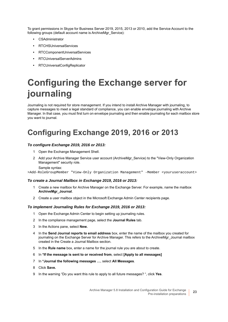To grant permissions in Skype for Business Server 2019, 2015, 2013 or 2010, add the Service Account to the following groups (default account name is ArchiveMgr\_Service):

- **•** CSAdministrator
- **•** RTCHSUniversalServices
- **•** RTCComponentUniversalServices
- **•** RTCUniversalServerAdmins
- **•** RTCUniversalConfigReplicator

# <span id="page-22-0"></span>**Configuring the Exchange server for journaling**

Journaling is not required for store management. If you intend to install Archive Manager with journaling, to capture messages to meet a legal standard of compliance, you can enable envelope journaling with Archive Manager. In that case, you must first turn on envelope journaling and then enable journaling for each mailbox store you want to journal.

## <span id="page-22-1"></span>**Configuring Exchange 2019, 2016 or 2013**

### *To configure Exchange 2019, 2016 or 2013:*

- 1 Open the Exchange Management Shell.
- 2 Add your Archive Manager Service user account (ArchiveMgr\_Service) to the "View-Only Organization Management" security role.

Sample syntax:

>Add-RoleGroupMember "View-Only Organization Management" -Member <youruseraccount>

### *To create a Journal Mailbox in Exchange 2019, 2016 or 2013:*

- 1 Create a new mailbox for Archive Manager on the Exchange Server. For example, name the mailbox **ArchiveMgr\_Journal**.
- 2 Create a user mailbox object in the Microsoft Exchange Admin Center recipients page.

### *To implement Journaling Rules for Exchange 2019, 2016 or 2013:*

- 1 Open the Exchange Admin Center to begin setting up journaling rules.
- 2 In the compliance management page, select the **Journal Rules** tab.
- 3 In the Actions pane, select **New.**
- 4 In the **Send Journal reports to email address** box, enter the name of the mailbox you created for journaling on the Exchange Server for Archive Manager. This refers to the ArchiveMgr\_Journal mailbox created in the Create a Journal Mailbox section.
- 5 In the **Rule name** box, enter a name for the journal rule you are about to create.
- 6 In **\*If the message is sent to or received from**, select **[Apply to all messages]**
- 7 In **\*Journal the following messages …**, select **All Messages**.
- 8 Click **Save.**
- 9 In the warning "Do you want this rule to apply to all future messages? ", click **Yes**.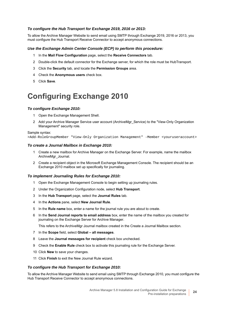### *To configure the Hub Transport for Exchange 2019, 2016 or 2013:*

To allow the Archive Manager Website to send email using SMTP through Exchange 2019, 2016 or 2013, you must configure the Hub Transport Receive Connector to accept anonymous connections.

### *Use the Exchange Admin Center Console (ECP) to perform this procedure:*

- 1 In the **Mail Flow Configuration** page, select the **Receive Connectors** tab.
- 2 Double-click the default connector for the Exchange server, for which the role must be HubTransport.
- 3 Click the **Security** tab, and locate the **Permission Groups** area.
- 4 Check the **Anonymous users** check box.
- 5 Click **Save**.

## <span id="page-23-0"></span>**Configuring Exchange 2010**

### *To configure Exchange 2010:*

- 1 Open the Exchange Management Shell.
- 2 Add your Archive Manager Service user account (ArchiveMgr\_Service) to the "View-Only Organization Management" security role.

Sample syntax:

>Add-RoleGroupMember "View-Only Organization Management" -Member <youruseraccount>

### *To create a Journal Mailbox in Exchange 2010:*

- 1 Create a new mailbox for Archive Manager on the Exchange Server. For example, name the mailbox ArchiveMgr\_Journal.
- 2 Create a recipient object in the Microsoft Exchange Management Console. The recipient should be an Exchange 2010 mailbox set up specifically for journaling.

### *To implement Journaling Rules for Exchange 2010:*

- 1 Open the Exchange Management Console to begin setting up journaling rules.
- 2 Under the Organization Configuration node, select **Hub Transport**.
- 3 In the **Hub Transport** page, select the **Journal Rules** tab.
- 4 In the **Actions** pane, select **New Journal Rule**.
- 5 In the **Rule name** box, enter a name for the journal rule you are about to create.
- 6 In the **Send Journal reports to email address** box, enter the name of the mailbox you created for journaling on the Exchange Server for Archive Manager.

This refers to the ArchiveMgr Journal mailbox created in the Create a Journal Mailbox section.

- 7 In the **Scope** field, select **Global all messages**.
- 8 Leave the **Journal messages for recipient** check box unchecked.
- 9 Check the **Enable Rule** check box to activate this journaling rule for the Exchange Server.
- 10 Click **New** to save your changes.
- 11 Click **Finish** to exit the New Journal Rule wizard.

### *To configure the Hub Transport for Exchange 2010:*

To allow the Archive Manager Website to send email using SMTP through Exchange 2010, you must configure the Hub Transport Receive Connector to accept anonymous connections.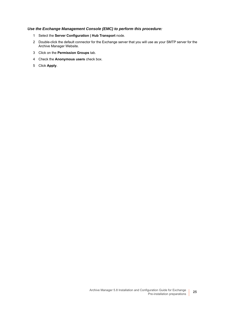### *Use the Exchange Management Console (EMC) to perform this procedure:*

- 1 Select the **Server Configuration | Hub Transport** node.
- 2 Double-click the default connector for the Exchange server that you will use as your SMTP server for the Archive Manager Website.
- 3 Click on the **Permission Groups** tab.
- 4 Check the **Anonymous users** check box.
- 5 Click **Apply**.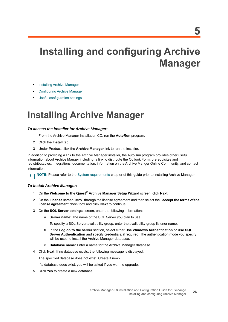# <span id="page-25-0"></span>**Installing and configuring Archive Manager**

- **•** [Installing Archive Manager](#page-25-1)
- **•** [Configuring Archive Manager](#page-26-0)
- **•** [Useful configuration settings](#page-34-0)

# <span id="page-25-3"></span><span id="page-25-1"></span>**Installing Archive Manager**

### *To access the installer for Archive Manager:*

- 1 From the Archive Manager installation CD, run the **AutoRun** program.
- 2 Click the **Install** tab.
- 3 Under Product, click the **Archive Manager** link to run the installer.

In addition to providing a link to the Archive Manager installer, the AutoRun program provides other useful information about Archive Manger including: a link to distribute the Outlook Form, prerequisites and redistributables, integrations, documentation, information on the Archive Manger Online Community, and contact information.

**NOTE:** Please refer to the [System requirements](#page-6-3) chapter of this guide prior to installing Archive Manager.i I

### *To install Archive Manager:*

- 1 On the **Welcome to the Quest® Archive Manager Setup Wizard** screen, click **Next**.
- 2 On the **License** screen, scroll through the license agreement and then select the **I accept the terms of the license agreement** check box and click **Next** to continue.
- <span id="page-25-2"></span>3 On the **SQL Server settings** screen, enter the following information:
	- a **Server name:** The name of the SQL Server you plan to use.

To specify a SQL Server availability group, enter the availability group listener name.

- b In the **Log on to the server** section, select either **Use Windows Authentication** or **Use SQL Server Authentication** and specify credentials, if required. The authentication mode you specify will be used to install the Archive Manager database.
- c **Database name:** Enter a name for the Archive Manager database.
- 4 Click **Next**. If no database exists, the following message is displayed:

The specified database does not exist. Create it now?

If a database does exist, you will be asked if you want to upgrade.

5 Click **Yes** to create a new database.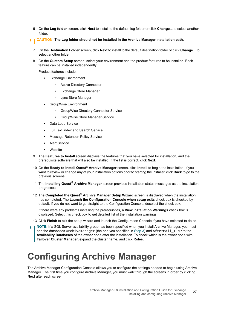- 6 On the **Log folder** screen, click **Next** to install to the default log folder or click **Change...** to select another folder.
- **CAUTION: The Log folder should not be installed in the Archive Manager installation path.** Ū.
	- 7 On the **Destination Folder** screen, click **Next** to install to the default destination folder or click **Change...** to select another folder.
	- 8 On the **Custom Setup** screen, select your environment and the product features to be installed. Each feature can be installed independently.

Product features include:

- **▪** Exchange Environment
	- **▫** Active Directory Connector
	- **▫** Exchange Store Manager
	- **▫** Lync Store Manager
- **▪** GroupWise Environment
	- **▫** GroupWise Directory Connector Service
	- **▫** GroupWise Store Manager Service
- **Data Load Service**
- **▪** Full Text Index and Search Service
- **Message Retention Policy Service**
- **Alert Service**
- **▪** Website
- 9 The **Features to Install** screen displays the features that you have selected for installation, and the prerequisite software that will also be installed. If the list is correct, click **Next**.
- 10 On the **Ready to install Quest® Archive Manager** screen, click **Install** to begin the installation. If you want to review or change any of your installation options prior to starting the installer, click **Back** to go to the previous screens.
- 11 The **Installing Quest® Archive Manager** screen provides installation status messages as the installation progresses.
- 12 The **Completed the Quest® Archive Manager Setup Wizard** screen is displayed when the installation has completed. The **Launch the Configuration Console when setup exits** check box is checked by default. If you do not want to go straight to the Configuration Console, deselect the check box.

If there were any problems installing the prerequisites, a **View Installation Warnings** check box is displayed. Select this check box to get detailed list of the installation warnings.

- 13 Click **Finish** to exit the setup wizard and launch the Configuration Console if you have selected to do so.
- **NOTE:** If a SQL Server availability group has been specified when you install Archive Manager, you must add the databases Archivemanager (the one you specified in [Step 3](#page-25-2)) and Aftermail TEMP to the **Availability Databases** of the owner node after the installation. To check which is the owner node with **Failover Cluster Manager,** expand the cluster name, and click **Roles**.

# <span id="page-26-0"></span>**Configuring Archive Manager**

The Archive Manager Configuration Console allows you to configure the settings needed to begin using Archive Manager. The first time you configure Archive Manager, you must walk through the screens in order by clicking **Next** after each screen.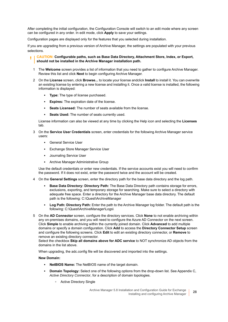After completing the initial configuration, the Configuration Console will switch to an edit mode where any screen can be configured in any order. In edit mode, click **Apply** to save your settings.

Configuration pages are displayed only for the features that you selected during installation.

If you are upgrading from a previous version of Archive Manager, the settings are populated with your previous selections.

#### **CAUTION: Configurable paths, such as Base Data Directory, Attachment Store, Index, or Export,**  п **should not be installed in the Archive Manager installation path.**

- 1 The **Welcome** screen provides a list of information that you need to gather to configure Archive Manager. Review this list and click **Next** to begin configuring Archive Manager.
- 2 On the **License** screen, click **Browse...** to locate your license andclick **Install** to install it. You can overwrite an existing license by entering a new license and installing it. Once a valid license is installed, the following information is displayed:
	- **Type:** The type of license purchased.
	- **Expires:** The expiration date of the license.
	- **Seats Licensed:** The number of seats available from the license.
	- **Seats Used:** The number of seats currently used.

License information can also be viewed at any time by clicking the Help icon and selecting the **Licenses** tab.

- 3 On the **Service User Credentials** screen, enter credentials for the following Archive Manager service users:
	- **▪** General Service User
	- **▪** Exchange Store Manager Service User
	- **▪** Journaling Service User
	- **▪** Archive Manager Administrative Group

Use the default credentials or enter new credentials. If the service accounts exist you will need to confirm the password. If it does not exist, enter the password twice and the account will be created.

- 4 On the **General Settings** screen, enter the directory path for the base data directory and the log path.
	- **Base Data Directory: Directory Path:** The Base Data Directory path contains storage for errors, exclusions, exporting, and temporary storage for searching. Make sure to select a directory with adequate free space. Enter a directory for the Archive Manager base data directory. The default path is the following: C:\Quest\ArchiveManager
	- **Log Path: Directory Path:** Enter the path to the Archive Manager log folder. The default path is the following: C:\Quest\ArchiveManager\Logs\
- <span id="page-27-0"></span>5 On the **AD Connector** screen, configure the directory services. Click **None** to not enable archiving within any on-premises domains, and you will need to configure the Azure AD Connector on the next screen. Click **Simple** to enable archiving within the currently joined domain. Click **Advanced** to add multiple domains or specify a domain configuration. Click **Add** to access the **Directory Connector Setup** screen and configure the following screens. Click **Edit** to edit an existing directory connector, or **Remove** to remove an existing directory connector.

Select the checkbox **Skip all domains above for ADC service** to NOT synchronize AD objects from the domains in the list above.

When upgrading, the adc.config file will be discovered and imported into the settings.

### **New Domain:**

- **NetBIOS Name:** The NetBIOS name of the target domain.
- **Domain Topology:** Select one of the following options from the drop-down list. See Appendix C, *Active Directory Connector*, for a description of domain topologies.
	- **▫** Active Directory Single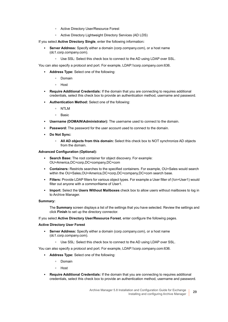- **▫** Active Directory User/Resource Forest
- **▫** Active Directory Lightweight Directory Services (AD LDS)

If you select **Active Directory Single**, enter the following information**:**

- **Server Address:** Specify either a domain (corp.company.com), or a host name (dc1.corp.company.com).
	- **▫** Use SSL: Select this check box to connect to the AD using LDAP over SSL.

You can also specify a protocol and port. For example, LDAP:\\corp.company.com:636.

- **Address Type:** Select one of the following:
	- **▫** Domain
	- **▫** Host
- **Require Additional Credentials:** If the domain that you are connecting to requires additional credentials, select this check box to provide an authentication method, username and password.
- **Authentication Method:** Select one of the following:
	- **▫** NTLM
	- **▫** Basic
- **Username (DOMAIN\Administrator):** The username used to connect to the domain.
- **Password:** The password for the user account used to connect to the domain.
- **Do Not Sync:**
	- **All AD objects from this domain:** Select this check box to NOT synchronize AD objects from the domain.

### **Advanced Configuration (Optional):**

- **Search Base:** The root container for object discovery. For example: OU=America,DC=corp,DC=company,DC=com
- **Containers:** Restricts searches to the specified containers. For example, OU=Sales would search within the OU=Sales,OU=America,DC=corp,DC=company,DC=com search base.
- **Filters:** Provide LDAP filters for various object types. For example a User filter of (!cn=User1) would filter out anyone with a commonName of User1.
- **Import:** Select the Users Without Mailboxes check box to allow users without mailboxes to log in to Archive Manager.

### **Summary:**

The **Summary** screen displays a list of the settings that you have selected. Review the settings and click **Finish** to set up the directory connector.

If you select **Active Directory User/Resource Forest**, enter configure the following pages.

### **Active Directory User Forest**

- **Server Address:** Specify either a domain (corp.company.com), or a host name (dc1.corp.company.com).
	- **▫** Use SSL: Select this check box to connect to the AD using LDAP over SSL.

You can also specify a protocol and port. For example, LDAP:\\corp.company.com:636.

- **Address Type:** Select one of the following:
	- **▫** Domain
	- **▫** Host
- **Require Additional Credentials:** If the domain that you are connecting to requires additional credentials, select this check box to provide an authentication method, username and password.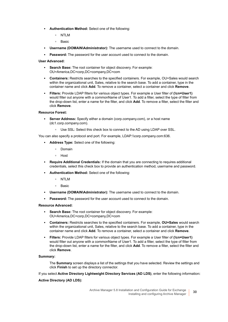- **Authentication Method:** Select one of the following:
	- **▫** NTLM
	- **▫** Basic
- **Username (DOMAIN\Administrator):** The username used to connect to the domain.
- **Password:** The password for the user account used to connect to the domain.

### **User Advanced:**

- **Search Base:** The root container for object discovery. For example: OU=America,DC=corp,DC=company,DC=com
- **Containers:** Restricts searches to the specified containers. For example, OU=Sales would search within the organizational unit, Sales, relative to the search base. To add a container, type in the container name and click **Add**. To remove a container, select a container and click **Remove**.
- **Filters:** Provide LDAP filters for various object types. For example a User filter of **(!cn=User1)** would filter out anyone with a commonName of User1. To add a filter, select the type of filter from the drop-down list, enter a name for the filter, and click **Add**. To remove a filter, select the filter and click **Remove**.

### **Resource Forest:**

- **Server Address:** Specify either a domain (corp.company.com), or a host name (dc1.corp.company.com).
	- **▫** Use SSL: Select this check box to connect to the AD using LDAP over SSL.

You can also specify a protocol and port. For example, LDAP:\\corp.company.com:636.

- **Address Type:** Select one of the following:
	- **▫** Domain
	- **▫** Host
- **Require Additional Credentials:** If the domain that you are connecting to requires additional credentials, select this check box to provide an authentication method, username and password.
- **Authentication Method:** Select one of the following:
	- **▫** NTLM
	- **▫** Basic
- **Username (DOMAIN\Administrator):** The username used to connect to the domain.
- **Password:** The password for the user account used to connect to the domain.

### **Resource Advanced:**

- **Search Base:** The root container for object discovery. For example: OU=America,DC=corp,DC=company,DC=com
- **Containers:** Restricts searches to the specified containers. For example, **OU=Sales** would search within the organizational unit, Sales, relative to the search base. To add a container, type in the container name and click **Add**. To remove a container, select a container and click **Remove**.
- **Filters:** Provide LDAP filters for various object types. For example a User filter of **(!cn=User1)** would filter out anyone with a commonName of User1. To add a filter, select the type of filter from the drop-down list, enter a name for the filter, and click **Add**. To remove a filter, select the filter and click **Remove**.

### **Summary:**

The **Summary** screen displays a list of the settings that you have selected. Review the settings and click **Finish** to set up the directory connector.

If you select **Active Directory Lightweight Directory Services (AD LDS)**, enter the following information**:**

### **Active Directory (AD LDS):**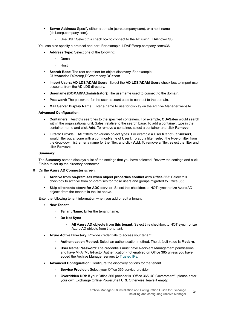- **Server Address:** Specify either a domain (corp.company.com), or a host name (dc1.corp.company.com).
	- **▫** Use SSL: Select this check box to connect to the AD using LDAP over SSL.

You can also specify a protocol and port. For example, LDAP:\\corp.company.com:636.

- **Address Type:** Select one of the following:
	- **▫** Domain
	- **▫** Host
- **Search Base:** The root container for object discovery. For example: OU=America,DC=corp,DC=company,DC=com
- **Import Users: AD LDS/ADAM Users:** Select the **AD LDS/ADAM Users** check box to import user accounts from the AD LDS directory.
- **Username (DOMAIN\Administrator):** The username used to connect to the domain.
- **Password:** The password for the user account used to connect to the domain.
- **Mail Server Display Name:** Enter a name to use for display on the Archive Manager website.

### **Advanced Configuration:**

- **Containers:** Restricts searches to the specified containers. For example, **OU=Sales** would search within the organizational unit, Sales, relative to the search base. To add a container, type in the container name and click **Add**. To remove a container, select a container and click **Remove**.
- **Filters:** Provide LDAP filters for various object types. For example a User filter of **(!cn=User1)** would filter out anyone with a commonName of User1. To add a filter, select the type of filter from the drop-down list, enter a name for the filter, and click **Add**. To remove a filter, select the filter and click **Remove**.

### **Summary:**

The **Summary** screen displays a list of the settings that you have selected. Review the settings and click **Finish** to set up the directory connector.

- 6 On the **Azure AD Connector** screen,
	- Archive from on-premises when object properties conflict with Office 365: Select this checkbox to archive from on-premises for those users and groups migrated to Office 365.
	- **Skip all tenants above for ADC service**: Select this checkbox to NOT synchronize Azure AD objects from the tenants in the list above.

Enter the following tenant information when you add or edit a tenant:

- **New Tenant** 
	- **Tenant Name:** Enter the tenant name.
	- **Do Not Sync**
		- **All Azure AD objects from this tenant:** Select this checkbox to NOT synchronize Azure AD objects from the tenant.
- **Azure Active Directory: Provide credentials to access your tenant.** 
	- **Authentication Method**: Select an authentication method. The default value is **Modern**.
	- **□ User Name/Password:** The credentials must have Recipient Management permissions, and have MFA (Multi-Factor Authentication) not enabled on Office 365 unless you have added the Archive Manager servers to [Trusted IPs](https://docs.microsoft.com/en-us/azure/active-directory/authentication/howto-mfa-mfasettings#trusted-ips).
- Advanced Configuration: Configure the discovery options for the tenant.
	- **Service Provider:** Select your Office 365 service provider.
	- **Overridden URI:** If your Office 365 provider is "Office 365 US Government", please enter your own Exchange Online PowerShell URI. Otherwise, leave it empty.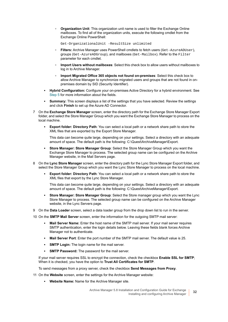**• Organization Unit:** This organization unit name is used to filter the Exchange Online mailboxes. To find all of the organization units, execute the following cmdlet from the Exchange Online PowerShell:

Get-OrganizationalUnit -ResultSize unlimited

- **Filters:** Archive Manager uses PowerShell cmdlets to fetch users ([Get-AzureADUser](https://docs.microsoft.com/en-us/powershell/module/azuread/get-azureaduser?view=azureadps-2.0)), groups ([Get-AzureADGroup](https://docs.microsoft.com/en-us/powershell/module/azuread/get-azureadgroup?view=azureadps-2.0)), and mailboxes ([Get-Mailbox](https://docs.microsoft.com/en-us/powershell/module/exchange/mailboxes/get-mailbox?view=exchange-ps)). Refer to the Filter parameter for each cmdlet.
- **Import Users without mailboxes**: Select this check box to allow users without mailboxes to log in to Archive Manager.
- **Import Migrated Office 365 objects not found on-premises**: Select this check box to allow Archive Manager to synchronize migrated users and groups that are not found in onpremises domain by SID (Security Identifier).
- **Hybrid Configuration:** Configure your on-premises Active Directory for a hybrid environment. See [Step 5](#page-27-0) for more information about the fields.
- **Summary:** This screen displays a list of the settings that you have selected. Review the settings and click **Finish** to set up the Azure AD Connector.
- 7 On the **Exchange Store Manager** screen, enter the directory path for the Exchange Store Manager Export folder, and select the Store Manager Group which you want the Exchange Store Manager to process on the local machine.
	- **Export folder: Directory Path**: You can select a local path or a network share path to store the XML files that are exported by the Export Store Manager.

This data can become quite large, depending on your settings. Select a directory with an adequate amount of space. The default path is the following: C:\Quest\ArchiveManager\Export.

- **Store Manager: Store Manager Group**: Select the Store Manager Group which you want the Exchange Store Manager to process. The selected group name can be configured on the Archive Manager website, in the Mail Servers page.
- 8 On the **Lync Store Manager** screen, enter the directory path for the Lync Store Manager Export folder, and select the Store Manager Group which you want the Lync Store Manager to process on the local machine.
	- **Export folder: Directory Path**: You can select a local path or a network share path to store the XML files that export by the Lync Store Manager.

This data can become quite large, depending on your settings. Select a directory with an adequate amount of space. The default path is the following: C:\Quest\ArchiveManager\Export.

- **Store Manager: Store Manager Group**: Select the Store manager group which you want the Lync Store Manager to process. The selected group name can be configured on the Archive Manager website, in the Lync Servers page.
- 9 On the **Data Loader** screen, select a data loader group from the drop down list to run in the server.
- 10 On the **SMTP Mail Server** screen, enter the information for the outgoing SMTP mail server:
	- **Mail Server Name:** Enter the host name of the SMTP mail server. If your mail server requires SMTP authentication, enter the login details below. Leaving these fields blank forces Archive Manager not to authenticate.
	- **Mail Server Port**: Enter the port number of the SMTP mail server. The default value is 25.
	- **SMTP Login:** The login name for the mail server.
	- **SMTP Password:** The password for the mail server.

If your mail server requires SSL to encrypt the connection, check the checkbox **Enable SSL for SMTP**; When it is checked, you have the option to **Trust All Certificates for SMTP**.

To send messages from a proxy server, check the checkbox **Send Messages from Proxy**.

- 11 On the **Website** screen, enter the settings for the Archive Manager website:
	- **Website Name:** Name for the Archive Manager site.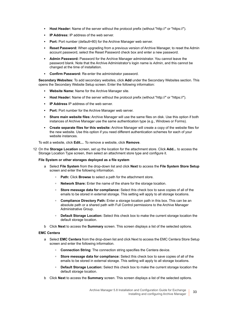- **Host Header:** Name of the server without the protocol prefix (without "http://" or "https://").
- **IP Address:** IP address of the web server.
- **Port:** Port number (default=80) for the Archive Manager web server.
- **Reset Password:** When upgrading from a previous version of Archive Manager, to reset the Admin account password, select the Reset Password check box and enter a new password.
- **Admin Password:** Password for the Archive Manager administrator. You cannot leave the password blank. Note that the Archive Administrator's login name is *Admin*, and this cannot be changed at the time of installation.
- **Confirm Password:** Re-enter the administrator password.

**Secondary Websites:** To add secondary websites, click **Add** under the Secondary Websites section. This opens the Secondary Website Setup screen. Enter the following information:

- **Website Name:** Name for the Archive Manager site.
- **Host Header:** Name of the server without the protocol prefix (without "http://" or "https://").
- **IP Address IP address of the web server.**
- **Port:** Port number for the Archive Manager web server.
- **Share main website files:** Archive Manager will use the same files on disk. Use this option if both instances of Archive Manager use the same authentication type (e.g., Windows or Forms).
- **Create separate files for this website:** Archive Manager will create a copy of the website files for the new website. Use this option if you need different authentication schemes for each of your website instances.

To edit a website, click **Edit...**. To remove a website, click **Remove**.

12 On the **Storage Location** screen, set up the location for the attachment store. Click **Add...** to access the Storage Location Type screen, then select an attachment store type and configure it.

### **File System or other storages deployed as a file system**

- a Select **File System** from the drop-down list and click **Next** to access the **File System Store Setup** screen and enter the following information.
	- **Path:** Click **Browse** to select a path for the attachment store.
	- **Network Share:** Enter the name of the share for the storage location.
	- **Store message data for compliance:** Select this check box to save copies of all of the emails to be stored in external storage. This setting will apply to all storage locations.
	- **Compliance Directory Path:** Enter a storage location path in this box. This can be an absolute path or a shared path with Full Control permissions to the Archive Manager Administrative Group.
	- **□ Default Storage Location:** Select this check box to make the current storage location the default storage location.
- b Click **Next** to access the **Summary** screen. This screen displays a list of the selected options.

### **EMC Centera**

- a Select **EMC Centera** from the drop-down list and click Next to access the EMC Centera Store Setup screen and enter the following information.
	- **Connection String**: The connection string specifies the Centera device.
	- **Store message data for compliance:** Select this check box to save copies of all of the emails to be stored in external storage. This setting will apply to all storage locations.
	- **Default Storage Location:** Select this check box to make the current storage location the default storage location.
- b Click **Next** to access the **Summary** screen. This screen displays a list of the selected options.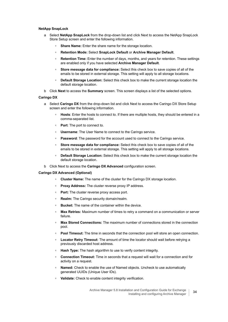#### **NetApp SnapLock**

- a Select **NetApp SnapLock** from the drop-down list and click Next to access the NetApp SnapLock Store Setup screen and enter the following information.
	- **Share Name:** Enter the share name for the storage location.
	- **Retention Mode:** Select **SnapLock Default** or **Archive Manager Default**.
	- **□ Retention Time:** Enter the number of days, months, and years for retention. These settings are enabled only if you have selected **Archive Manager Default**.
	- **Store message data for compliance:** Select this check box to save copies of all of the emails to be stored in external storage. This setting will apply to all storage locations.
	- **Default Storage Location:** Select this check box to make the current storage location the default storage location.
- b Click **Next** to access the **Summary** screen. This screen displays a list of the selected options.

#### **Caringo DX**

- a Select **Caringo DX** from the drop-down list and click Next to access the Caringo DX Store Setup screen and enter the following information.
	- **■ Hosts**: Enter the hosts to connect to. If there are multiple hosts, they should be entered in a comma-separated list.
	- **Port:** The port to connect to.
	- **Username**: The User Name to connect to the Caringo service.
	- **Password:** The password for the account used to connect to the Caringo service.
	- **Store message data for compliance:** Select this check box to save copies of all of the emails to be stored in external storage. This setting will apply to all storage locations.
	- **Default Storage Location:** Select this check box to make the current storage location the default storage location.
- b Click Next to access the **Caringo DX Advanced** configuration screen.

#### **Caringo DX Advanced (Optional)**

- **Cluster Name:** The name of the cluster for the Caringo DX storage location.
- **Proxy Address:** The cluster reverse proxy IP address.
- **Port:** The cluster reverse proxy access port.
- **Realm:** The Caringo security domain/realm.
- **Bucket:** The name of the container within the device.
- **Max Retries:** Maximum number of times to retry a command on a communication or server failure.
- **□ Max Stored Connections:** The maximum number of connections stored in the connection pool.
- **□ Pool Timeout:** The time in seconds that the connection pool will store an open connection.
- **□ Locator Retry Timeout:** The amount of time the locator should wait before retrying a previously discarded host address.
- **Hash Type:** The hash algorithm to use to verify content integrity.
- **Connection Timeout:** Time in seconds that a request will wait for a connection and for activity on a request.
- **Named:** Check to enable the use of Named objects. Uncheck to use automatically generated UUIDs (Unique User IDs).
- **Validate:** Check to enable content integrity verification.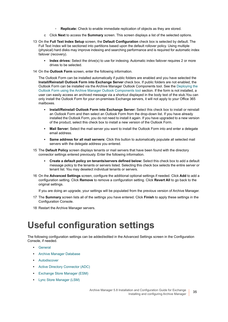- **□ Replicate:** Check to enable immediate replication of objects as they are stored.
- c Click **Next** to access the **Summary** screen. This screen displays a list of the selected options.
- 13 On the **Full Text Index Setup** screen, the **Default Configuration** check box is selected by default. The Full Text Index will be sectioned into partitions based upon the default rollover policy. Using multiple (physical) hard disks may improve indexing and searching performance and is required for automatic index failover (recovery).
	- **Index drives:** Select the drive(s) to use for indexing. Automatic index failover requires 2 or more drives to be selected.
- 14 On the **Outlook Form** screen, enter the following information.

The Outlook Form can be installed automatically if public folders are enabled and you have selected the **Install/Reinstall Outlook Form into Exchange Server** check box. If public folders are not enabled, the Outlook Form can be installed via the Archive Manager Outlook Components tool. See the [Deploying the](#page-43-5)  [Outlook Form using the Archive Manager Outlook Components tool](#page-43-5) section. If the form is not installed, a user can easily access an archived message via a shortcut displayed in the body text of the stub.You can only install the Outlook Form for your on-premises Exchange servers, it will not apply to your Office 365 mailboxes.

- **Install/Reinstall Outlook Form into Exchange Server:** Select this check box to install or reinstall an Outlook Form and then select an Outlook Form from the drop-down list. If you have already installed the Outlook Form, you do not need to install it again. If you have upgraded to a new version of the product, select this check box to install a new version of the Outlook Form.
- **Mail Server:** Select the mail server you want to install the Outlook Form into and enter a delegate email address.
- **Same address for all mail servers:** Click this button to automatically populate all selected mail servers with the delegate address you entered.
- 15 The **Default Policy** screen displays tenants or mail servers that have been found with the directory connector settings entered previously. Enter the following information.
	- **Create a default policy on tenants/servers defined below:** Select this check box to add a default message policy to the tenants or servers listed. Selecting this check box selects the entire server or tenant list. You may deselect individual tenants or servers.
- 16 On the **Advanced Settings** screen, configure the additional optional settings if needed. Click **Add** to add a configuration setting. Click **Remove** to remove a configuration setting. Click **Revert All** to go back to the original settings.

If you are doing an upgrade, your settings will be populated from the previous version of Archive Manager.

- 17 The **Summary** screen lists all of the settings you have entered. Click **Finish** to apply these settings in the Configuration Console.
- 18 Restart the Archive Manager servers.

# <span id="page-34-0"></span>**Useful configuration settings**

The following configuration settings can be added/edited in the Advanced Settings screen in the Configuration Console, if needed.

- **•** [General](#page-35-0)
- **•** [Archive Manager Database](#page-35-1)
- **•** [Autodiscover](#page-35-2)
- **•** [Active Directory Connector \(ADC\)](#page-36-0)
- **•** [Exchange Store Manager \(ESM\)](#page-36-1)
- **•** [Lync Store Manager \(LSM\)](#page-38-0)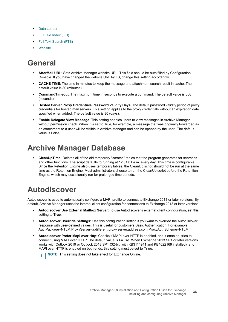- **•** [Data Loader](#page-38-1)
- **•** [Full Text Index \(FTI\)](#page-38-2)
- **•** [Full Text Search \(FTS\)](#page-39-0)
- **•** [Website](#page-39-1)

## <span id="page-35-0"></span>**General**

- **AfterMail URL**: Sets Archive Manager website URL. This field should be auto filled by Configuration Console. If you have changed the website URL by IIS, change this setting accordingly.
- **CACHE TIME**: The time in minutes to keep the message and attachment search result in cache. The default value is 30 (minutes).
- **CommandTimeout**: The maximum time in seconds to execute a command. The default value is 600 (seconds).
- **Hosted Server Proxy Credentials Password Validity Days**: The default password validity period of proxy credentials for hosted mail servers. This setting applies to the proxy credentials without an expiration date specified when added. The default value is 80 (days).
- **Enable Delegate View Message**: This setting enables users to view messages in Archive Manager without permission check. When it is set to True, for example, a message that was originally forwarded as an attachment to a user will be visible in Archive Manager and can be opened by the user. The default value is False.

## <span id="page-35-1"></span>**Archive Manager Database**

**• CleanUpTime:** Deletes all of the old temporary "scratch" tables that the program generates for searches and other functions. The script defaults to running at 12:01:01 a.m. every day. This time is configurable. Since the Retention Engine also uses temporary tables, the CleanUp script should not be run at the same time as the Retention Engine. Most administrators choose to run the CleanUp script before the Retention Engine, which may occasionally run for prolonged time periods.

## <span id="page-35-2"></span>**Autodiscover**

Autodiscover is used to automatically configure a MAPI profile to connect to Exchange 2013 or later versions. By default, Archive Manager uses the internal client configuration for connections to Exchange 2013 or later versions.

- **Autodiscover Use External Mailbox Server:** To use Autodiscover's external client configuration, set this setting to **True**.
- **Autodiscover Override Settings:** Use this configuration setting if you want to override the Autodiscover response with user-defined values. This is useful for customers Basic Authentication. For example: AuthPackage=NTLM;ProxyServer=a.different.proxy.server.address.com;ProxyAuthScheme=NTLM
- **Autodiscover Prefer Mapi over Http**: Checks if MAPI over HTTP is enabled, and if enabled, tries to connect using MAPI over HTTP. The default value is False. When Exchange 2013 SP1 or later versions works with Outlook 2019 or Outlook 2013 SP1 (32-bit, with KB3114941 and KB4022169 installed), and MAPI over HTTP is enabled on both ends, this setting must be set to True.

**NOTE:** This setting does not take effect for Exchange Online.i I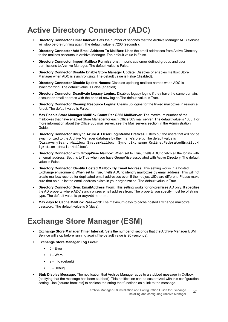## <span id="page-36-0"></span>**Active Directory Connector (ADC)**

- **Directory Connector Timer Interval**: Sets the number of seconds that the Archive Manager ADC Service will stop before running again. The default value is 7200 (seconds).
- **Directory Connector Add Email Address To MailBox**: Links the email addresses from Active Directory to the mailbox accounts in Archive Manager. The default value is False.
- **Directory Connector Import Mailbox Permissions**: Imports customer-defined groups and user permissions to Archive Manager. The default value is False.
- **Directory Connector Disable Enable Store Manager Update**: Disables or enables mailbox Store Manager when ADC is synchronizing. The default value is False (disabled).
- **Directory Connector Disable Update Names**: Disables updating mailbox names when ADC is synchronizing. The default value is False (enabled).
- **Directory Connector Deactivate Legacy Logins**: Disables legacy logins if they have the same domain, account or email address with the ones of new logins.The default value is True.
- **Directory Connector Cleanup Resource Logins**: Cleans up logins for the linked mailboxes in resource forest. The default value is False.
- **Max Enable Store Manager MailBox Count Per O365 MailServer**: The maximum number of the mailboxes that have enabled Store Manager for each Office 365 mail server. The default value is 1000. For more information about the Office 365 mail server. see the Mail servers section in the Administration Guide.
- **Directory Connector UnSync Azure AD User LoginName Prefixes**: Filters out the users that will not be synchronized to the Archive Manager database by their name's prefix. The default value is "DiscoverySearchMailbox;SystemMailbox\_;Sync\_;Exchange\_Online;FederatedEmail.;M igration.;HealthMailbox".
- **Directory Connector with GroupWise Mailbox**: When set to True, it tells ADC to fetch all the logins with an email address. Set this to True when you have GroupWise associated with Active Directory. The default value is False.
- **Directory Connector Identify Hosted Mailbox By Email Address**: This setting works in a hosted Exchange environment. When set to True, it tells ADC to identify mailboxes by email address. This will not create mailbox records for duplicated email addresses even if their object UIDs are different. Please make sure that no duplicated email address exists in your organization. The default value is True.
- **Directory Connector Sync EmailAddress From**: This setting works for on-premises AD only. It specifies the AD property where ADC synchronizes email address from. The property you specify must be of string type. The default value is proxyAddresses.
- **Max days to Cache MailBox Password**: The maximum days to cache hosted Exchange mailbox's password. The default value is 5 (days).

## <span id="page-36-1"></span>**Exchange Store Manager (ESM)**

- **Exchange Store Manager Timer Interval:** Sets the number of seconds that the Archive Manager ESM Service will stop before running again.The default value is 90 (seconds)**.**
- **Exchange Store Manager Log Level:** 
	- **▪** 0 Error
	- **▪** 1 Warn
	- **▪** 2 Info (default)
	- **▪** 3 Debug
- **Stub Display Message:** The notification that Archive Manager adds to a stubbed message in Outlook (notifying that the message has been stubbed). This notification can be customized with this configuration setting. Use [square brackets] to enclose the string that functions as a link to the message.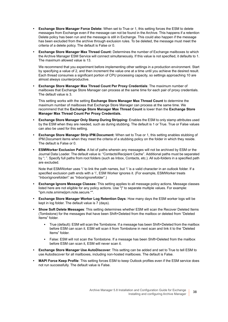- **Exchange Store Manager Force Delete:** When set to True or 1, this setting forces the ESM to delete messages from Exchange even if the message can not be found in the Archive. This happens if a retention Delete policy has been run and the message is still in Exchange. This could also happen if the message has been excluded from the archive through exclusion rules. To be deleted, the message must meet the criteria of a delete policy. The default is False or 0.
- **Exchange Store Manager Max Thread Count:** Determines the number of Exchange mailboxes to which the Archive Manager ESM Service will connect simultaneously. If this value is not specified, it defaults to 1. The maximum allowed value is 13.

We recommend that you experiment before implementing other settings in a production environment. Start by specifying a value of 2, and then increment the value one at a time until you achieve the desired result. Each thread consumes a significant portion of CPU processing capacity, so settings approaching 10 are almost always counterproductive.

**• Exchange Store Manager Max Thread Count Per Proxy Credentials**: The maximum number of mailboxes that Exchange Store Manager can process at the same time for each pair of proxy credentials. The default value is 3.

This setting works with the setting **Exchange Store Manager Max Thread Count** to determine the maximum number of mailboxes that Exchange Store Manager can process at the same time. We recommend that the **Exchange Store Manager Max Thread Count** is lower than the **Exchange Store Manager Max Thread Count Per Proxy Credentials.**

- **Exchange Store Manager Only Stamp During Stripping:** Enables the ESM to only stamp attributes used by the ESM when they are needed, such as during stubbing. The default is 1 or True. True or False values can also be used for this setting.
- **Exchange Store Manager Strip IPM.Document:** When set to True or 1, this setting enables stubbing of IPM.Document items when they meet the criteria of a stubbing policy on the folder in which they reside. The default is False or 0.
- **ESMWorker Exclusion Paths**: A list of paths wherein any messages will not be archived by ESM or the Journal Data Loader. The default value is: "Contacts\Recipient Cache". Additional paths must be separated by "; ". Specify full paths from root folders (such as Inbox, Contacts, etc.). All sub-folders in a specified path are excluded.

Note that ESMWorker uses '\' to link the path names, but '\' is a valid character in an outlook folder. If a specified exclusion path ends with a '\', ESM Worker ignores it. (For example, ESMWorker treats "Inbox\ignorefolder\" as "Inbox\ignorefolder".)

- **Exchange Ignore Message Classes:** This setting applies to all message policy actions. Message classes listed here are not eligible for any policy actions. Use "|" to separate multiple values. For example: "ipm.note.smime|ipm.note.secure.\*".
- **Exchange Store Manager Worker Log Retention Days**: How many days the ESM worker logs will be kept in log folder. The default value is 7 (days).
- **Show Soft Delete Messages**: This setting determines whether ESM will scan the Recover Deleted Items (Tombstone) for the messages that have been Shift+Deleted from the mailbox or deleted from "Deleted Items" folder.
	- **▪** True (default): ESM will scan the Tombstone. If a message has been Shift+Deleted from the mailbox before ESM can scan it. ESM will scan it from Tombstone in next scan and link it to the "Deleted Items" folder.
	- **▪** False: ESM will not scan the Tombstone. If a message has been Shift+Deleted from the mailbox before ESM can scan it, ESM will never scan it.
- **Exchange Store Manager Use AutoDiscover**: This setting can be added and set to True to tell ESM to use Autodiscover for all mailboxes, including non-hosted mailboxes. The default is False.
- **MAPI Force Keep Profile**: This setting forces ESM to keep Outlook profiles even if the ESM service does not run successfully. The default value is False.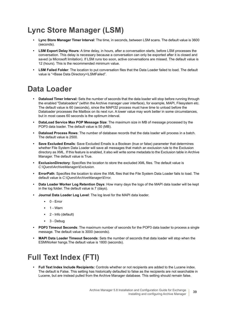## <span id="page-38-0"></span>**Lync Store Manager (LSM)**

- **Lync Store Manager Timer Interval**: The time, in seconds, between LSM scans. The default value is 3600 (seconds).
- **LSM Export Delay Hours**: A time delay, in hours, after a conversation starts, before LSM processes the conversation. This delay is necessary because a conversation can only be exported after it is closed and saved (a Microsoft limitation). If LSM runs too soon, active conversations are missed. The default value is 12 (hours). This is the recommended minimum value.
- **LSM Failed Folder**: The location to put conversation files that the Data Loader failed to load. The default value is "<Base Data Directory>\LSMFailed".

## <span id="page-38-1"></span>**Data Loader**

- **Dataload Timer Interval:** Sets the number of seconds that the data loader will stop before running through the enabled "Dataloaders" (within the Archive manager user interface), for example, MAPI, Filesystem etc. The default value is 60 (seconds), since the MAPI32 process must have time to unload before the Dataloader processes the Mailbox on its next run. A lower value may work better in some circumstances, but in most cases 60 seconds is the optimum interval.
- **DataLoad Service Max POP Message Size**: The maximum size in MB of message processed by the POP3 data loader. The default value is 50 (MB).
- **Dataload Process Rows**: The number of database records that the data loader will process in a batch. The default value is 2500.
- **Save Excluded Emails**: Save Excluded Emails is a Boolean (true or false) parameter that determines whether File System Data Loader will save all messages that match an exclusion rule to the Exclusion directory as XML. If this feature is enabled, it also will write some metadata to the Exclusion table in Archive Manager. The default value is True.
- **ExclusionDirectory**: Specifies the location to store the excluded XML files. The default value is *C:\Quest\ArchiveManager\Exclusion*.
- **ErrorPath**: Specifies the location to store the XML files that the File System Data Loader fails to load. The default value is *C:\Quest\ArchiveManager\Error.*
- **Data Loader Worker Log Retention Days**: How many days the logs of the MAPI data loader will be kept in the log folder. The default value is 7 (days).
- **Journal Data Loader Log Level**: The log level for the MAPI data loader.
	- **▪** 0 Error
	- **▪** 1 Warn
	- **▪** 2 Info (default)
	- **▪** 3 Debug
- **POP3 Timeout Seconds**: The maximum number of seconds for the POP3 data loader to process a single message. The default value is 3000 (seconds).
- **MAPI Data Loader Timeout Seconds**: Sets the number of seconds that data loader will stop when the ESMWorker hangs.The default value is 1800 (seconds).

## <span id="page-38-2"></span>**Full Text Index (FTI)**

**• Full Text Index Include Recipients:** Controls whether or not recipients are added to the Lucene index. The default is False. This setting has historically defaulted to false as the recipients are not searchable in Lucene, but are instead pulled from the Archive Manager database. This setting should remain false.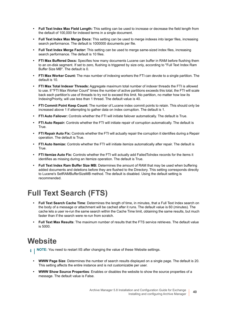- **Full Text Index Max Field Length:** This setting can be used to increase or decrease the field length from the default of 100,000 for indexed terms in a single document.
- **Full Text Index Max Merge Docs:** This setting can be used to merge indexes into larger files, increasing search performance. The default is 1000000 documents per file.
- **Full Text Index Merge Factor:** This setting can be used to merge same-sized index files, increasing search performance. The default is 10 files.
- **FTI Max Buffered Docs:** Specifies how many documents Lucene can buffer in RAM before flushing them to an on-disk segment. If set to zero, flushing is triggered by size only, according to "Full Text Index Ram Buffer Size MB". The default is 0.
- **FTI Max Worker Count:** The max number of indexing workers the FTI can devote to a single partition. The default is 10.
- **FTI Max Total Indexer Threads:** Aggregate maximum total number of indexer threads the FTI is allowed to use. If "FTI Max Worker Count" times the number of active partitions exceeds this total, the FTI will scale back each partition's use of threads to try not to exceed this limit. No partition, no matter how low its IndexingPriority, will use less than 1 thread. The default value is 40.
- **FTI Commit Point Keep Count:** The number of Lucene index commit points to retain. This should only be increased above 1 if attempting to gather data on index corruption. The default is 1.
- **FTI Auto Failover:** Controls whether the FTI will initiate failover automatically. The default is True.
- **FTI Auto Repair:** Controls whether the FTI will initiate repair of corruption automatically. The default is True.
- **FTI Repair Auto Fix:** Controls whether the FTI will actually repair the corruption it identifies during a Repair operation. The default is True.
- **FTI Auto Itemize:** Controls whether the FTI will initiate itemize automatically after repair. The default is True.
- **FTI Itemize Auto Fix:** Controls whether the FTI will actually add FailedToIndex records for the items it identifies as missing during an Itemize operation. The default is True.
- **Full Text Index Ram Buffer Size MB:** Determines the amount of RAM that may be used when buffering added documents and deletions before they are flushed to the Directory. This setting corresponds directly to Lucene's SetRAMBufferSizeMB method. The default is disabled. Using the default setting is recommended.

## <span id="page-39-0"></span>**Full Text Search (FTS)**

- **Full Text Search Cache Time**: Determines the length of time, in minutes, that a Full Text Index search on the body of a message or attachment will be cached after it runs. The default value is 60 (minutes). The cache lets a user re-run the same search within the Cache Time limit, obtaining the same results, but much faster than if the search were re-run from scratch.
- **Full Text Max Results**: The maximum number of results that the FTS service retrieves. The default value is 5000.

## <span id="page-39-1"></span>**Website**

**NOTE:** You need to restart IIS after changing the value of these Website settings.i l

- **WWW Page Size**: Determines the number of search results displayed on a single page. The default is 20. This setting affects the entire instance and is not customizable per user.
- **WWW Show Source Properties**: Enables or disables the website to show the source properties of a message. The default value is False.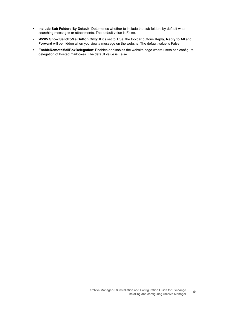- **Include Sub Folders By Default**: Determines whether to include the sub folders by default when searching messages or attachments. The default value is False.
- **WWW Show SendToMe Button Only**: If it's set to True, the toolbar buttons **Reply**, **Reply to All** and **Forward** will be hidden when you view a message on the website. The default value is False.
- **EnableRemoteMailBoxDelegation**: Enables or disables the website page where users can configure delegation of hosted mailboxes. The default value is False.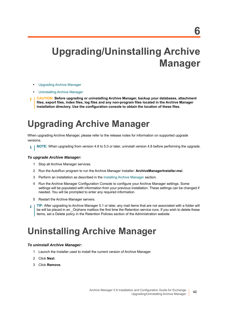# <span id="page-41-0"></span>**Upgrading/Uninstalling Archive Manager**

- **•** [Upgrading Archive Manager](#page-41-1)
- **•** [Uninstalling Archive Manager](#page-41-2)
- **CAUTION: Before upgrading or uninstalling Archive Manager, backup your databases, attachment files, export files, index files, log files and any non-program files located in the Archive Manager installation directory. Use the configuration console to obtain the location of these files.**

# <span id="page-41-1"></span>**Upgrading Archive Manager**

When upgrading Archive Manager, please refer to the release notes for information on supported upgrade versions.

**NOTE:** When upgrading from version 4.8 to 5.0 or later, uninstall version 4.8 before performing the upgrade. i l

### *To upgrade Archive Manager:*

- 1 Stop all Archive Manager services.
- 2 Run the AutoRun program to run the Archive Manager Installer: **ArchiveManagerInstaller.msi**.
- 3 Perform an installation as described in the [Installing Archive Manager](#page-25-3) section.
- 4 Run the Archive Manager Configuration Console to configure your Archive Manager settings. Some settings will be populated with information from your previous installation. These settings can be changed if needed. You will be prompted to enter any required information.
- 5 Restart the Archive Manager servers.
- **TIP:** After upgrading to Archive Manager 5.1 or later, any mail items that are not associated with a folder will ÷ be will be placed in an \_Orphans mailbox the first time the Retention service runs. If you wish to delete these items, set a Delete policy in the Retention Policies section of the Administration website.

# <span id="page-41-2"></span>**Uninstalling Archive Manager**

### *To uninstall Archive Manager:*

- 1 Launch the Installer used to install the current version of Archive Manager.
- 2 Click **Next**.
- 3 Click **Remove**.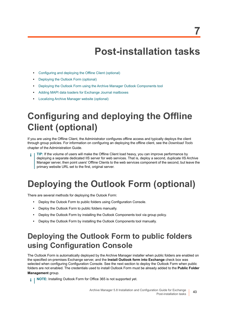# **Post-installation tasks**

- <span id="page-42-0"></span>**•** [Configuring and deploying the Offline Client \(optional\)](#page-42-1)
- **•** [Deploying the Outlook Form \(optional\)](#page-42-2)
- **•** [Deploying the Outlook Form using the Archive Manager Outlook Components tool](#page-43-1)
- **•** [Adding MAPI data loaders for Exchange Journal mailboxes](#page-43-2)
- **•** [Localizing Archive Manager website \(optional\)](#page-43-3)

# <span id="page-42-1"></span>**Configuring and deploying the Offline Client (optional)**

If you are using the Offline Client, the Administrator configures offline access and typically deploys the client through group policies. For information on configuring an deploying the offline client, see the *Download Tools*  chapter of the Administration Guide.

**TIP:** If the volume of users will make the Offline Client load heavy, you can improve performance by deploying a separate dedicated IIS server for web services. That is, deploy a second, duplicate IIS Archive Manager server, then point users' Offline Clients to the web services component of the second, but leave the primary website URL set to the first, original server.

# <span id="page-42-2"></span>**Deploying the Outlook Form (optional)**

There are several methods for deploying the Outook Form:

- **•** Deploy the Outook Form to public folders using Configuration Console.
- **•** Deploy the Outlook Form to public folders manually.
- **•** Deploy the Outlook Form by installing the Outlook Components tool via group policy.
- **•** Deploy the Outlook Form by installing the Outlook Components tool manually.

## <span id="page-42-3"></span>**Deploying the Outlook Form to public folders using Configuration Console**

The Outlook Form is automatically deployed by the Archive Manager installer when public folders are enabled on the specified on-premises Exchange server, and the **Install Outlook form into Exchange** check box was selected when configuring Configuration Console. See the next section to deploy the Outlook Form when public folders are not enabled. The credentials used to install Outlook Form must be already added to the **Public Folder Management** group.

**i** | NOTE: Installing Outlook Form for Office 365 is not supported yet.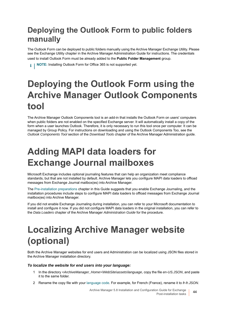## <span id="page-43-0"></span>**Deploying the Outlook Form to public folders manually**

The Outlook Form can be deployed to public folders manually using the Archive Manager Exchange Utility. Please see the Exchange Utility chapter in the Archive Manager Administration Guide for instructions. The credentials used to install Outlook Form must be already added to the **Public Folder Management** group.

**NOTE:** Installing Outlook Form for Office 365 is not supported yet.i I

# <span id="page-43-5"></span><span id="page-43-1"></span>**Deploying the Outlook Form using the Archive Manager Outlook Components tool**

The Archive Manager Outlook Components tool is an add-in that installs the Outlook Form on users' computers when public folders are not enabled on the specified Exchange server. It will automatically install a copy of the form when a user launches Outlook. Therefore, it is only necessary to run this tool once per computer. It can be managed by Group Policy. For instructions on downloading and using the Outlook Components Too, see the *Outlook Components Tool* section of the *Download Tools* chapter of the Archive Manager Administration guide.

# <span id="page-43-4"></span><span id="page-43-2"></span>**Adding MAPI data loaders for Exchange Journal mailboxes**

Microsoft Exchange includes optional journaling features that can help an organization meet compliance standards, but that are not installed by default. Archive Manager lets you configure MAPI data loaders to offload messages from Exchange Journal mailbox(es) into Archive Manager.

The [Pre-installation preparations](#page-19-2) chapter in this Guide suggests that you enable Exchange Journaling, and the installation procedures include steps to configure MAPI data loaders to offload messages from Exchange Journal mailbox(es) into Archive Manager.

If you did not enable Exchange Journaling during installation, you can refer to your Microsoft documentation to install and configure it now. If you did not configure MAPI data loaders in the original installation, you can refer to the *Data Loaders* chapter of the Archive Manager *Administration Guide* for the procedure.

# <span id="page-43-3"></span>**Localizing Archive Manager website (optional)**

Both the Archive Manager websites for end users and Administration can be localized using JSON files stored in the Archive Manager installation directory.

### *To localize the website for end users into your language:*

- 1 In the directory *<ArchiveManager\_Home>\WebSite\assets\language*, copy the file *en-US.JSON*, and paste it to the same folder.
- 2 Rename the copy file with your [language code](https://www.metamodpro.com/browser-language-codes). For example, for French (France), rename it to *fr-fr.JSON*.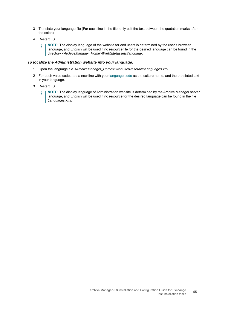- 3 Translate your language file (For each line in the file, only edit the text between the quotation marks after the colon).
- 4 Restart IIS.
	- **NOTE:** The display language of the website for end users is determined by the user's browser î. language, and English will be used if no resource file for the desired language can be found in the directory *<ArchiveManager\_Home>\WebSite\assets\language*.

### *To localize the Administration website into your language:*

- 1 Open the language file *<ArchiveManager\_Home>\WebSite\Resource\Languages.xml*.
- 2 For each value code, add a new line with your [language code](https://www.metamodpro.com/browser-language-codes) as the culture name, and the translated text in your language.
- 3 Restart IIS.
	- <sup>1</sup> | NOTE: The display language of Administration website is determined by the Archive Manager server language, and English will be used if no resource for the desired language can be found in the file *Languages.xml*.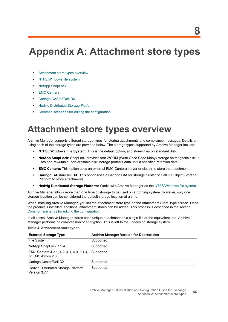# <span id="page-45-0"></span>**Appendix A: Attachment store types**

- **•** [Attachment store types overview](#page-45-1)
- **•** [NTFS/Windows file system](#page-46-0)
- **•** [NetApp SnapLock](#page-46-1)
- **•** [EMC Centera](#page-47-0)
- **•** [Caringo CAStor/Dell DX](#page-48-0)
- **•** [Hedvig Distributed Storage Platform](#page-48-1)
- **•** [Common scenarios for editing the configuration](#page-48-2)

## <span id="page-45-1"></span>**Attachment store types overview**

Archive Manager supports different storage types for storing attachments and compliance messages. Details on using each of the storage types are provided below. The storage types supported by Archive Manager include:

- **NTFS / Windows File System:** This is the default option, and stores files on standard disk.
- **NetApp SnapLock:** SnapLock provides fast WORM (Write Once Read Many) storage on magnetic disk. It uses non-rewritable, non-erasable disk storage protects data until a specified retention date.
- **EMC Centera:** This option uses an external EMC Centera server or cluster to store the attachments.
- **Caringo CAStor/Dell DX:** This option uses a Caringo CAStor storage cluster or Dell DX Object Storage Platform to store attachments.
- **Hedvig Distributed Storage Platform:** Works with Archive Manager as the [NTFS/Windows file system.](#page-46-0)

Archive Manager allows more than one type of storage to be used on a running system. However, only one storage location can be considered the default storage location at a time.

When installing Archive Manager, you set the attachment store type on the Attachment Store Type screen. Once the product is installed, additional attachment stores can be added. This process is described in the section [Common scenarios for editing the configuration](#page-48-2).

In all cases, Archive Manager stores each unique attachment as a single file or the equivalent unit. Archive Manager performs no compression or encryption. This is left to the underlying storage system.

**Table 4. Attachment store types**

| <b>External Storage Type</b>                                            | <b>Archive Manager Version for Deprecation</b> |
|-------------------------------------------------------------------------|------------------------------------------------|
| File System                                                             | Supported.                                     |
| NetApp SnapLock 7.2.4                                                   | Supported.                                     |
| EMC Centera 4.2.1, 4.2, 4.1, 4.0, 3.1.4, Supported.<br>or EMC Atmos 2.0 |                                                |
| Caringo Castor/Dell DX                                                  | Supported.                                     |
| Hedvig Distributed Storage Platform<br>Version 3.7.1                    | Supported.                                     |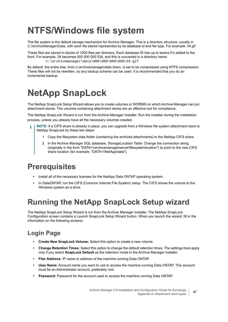# <span id="page-46-0"></span>**NTFS/Windows file system**

The file system is the default storage mechanism for Archive Manager. This is a directory structure, usually in *C:\ArchiveManager\Data*, with each file stored represented by its database id and file type. For example: 34.gif

These files are stored in blocks of 1000 files per directory. Each database ID has up to twelve 0's added to the front. For example, 34 becomes 000 000 000 034, and this is converted in a directory name: c:\archivemanager\data\000\000\000\000\34.gif

By default, the entire tree, from c:\archivemanager\data down, is set to be compressed using NTFS compression. These files will not be rewritten, so any backup scheme can be used. It is recommended that you do an incremental backup.

# <span id="page-46-1"></span>**NetApp SnapLock**

The NetApp SnapLock Setup Wizard allows you to create volumes or WORMS on which Archive Manager can put attachment stores. The volumes containing attachment stores are an effective tool for compliance.

The NetApp SnapLock Wizard is run from the Archive Manager Installer. Run the installer during the installation process, unless you already have all the necessary volumes created.

- **NOTE:** If a CIFS share is already in place, you can upgrade from a Windows file system attachment store to NetApp SnapLock by these two steps:
	- 1 Copy the filesystem data folder (containing the archived attachments) to the NetApp CIFS share.
	- 2 In the Archive Manager SQL database, StorageLocation Table: Change the connection string (originally in the form "DATA=\\archivemanagerserver\filesystemlocation") to point to the new CIFS share location (for example, "DATA=\\NetApp\data").

## <span id="page-46-2"></span>**Prerequisites**

- **•** Install all of the necessary licenses for the NetApp Data ONTAP operating system.
- **•** In DataONTAP, run the CIFS (Common Internet File System) setup. The CIFS shows the volume to the Windows system as a drive.

## <span id="page-46-3"></span>**Running the NetApp SnapLock Setup wizard**

The NetApp SnapLock Setup Wizard is run from the Archive Manager Installer. The NetApp SnapLock Configuration screen contains a Launch SnapLock Setup Wizard button. When you launch the wizard, fill in the information on the following screens:

## **Login Page**

- **Create New SnapLock Volume:** Select this option to create a new volume.
- **Change Retention Times:** Select this option to change the default retention times. The settings here apply only if you select **SnapLock Default** as the retention mode in the Archive Manager Installer.
- **Filer Address:** IP name or address of the machine running Data ONTAP.
- **User Name:** Account name you want to use to access the machine running Data ONTAP. This account must be an Administrator account, preferably root.
- **Password:** Password for the account used to access the machine running Data ONTAP.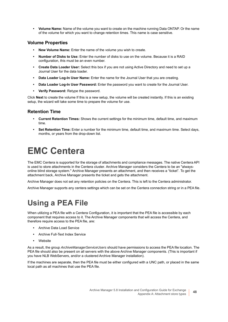**• Volume Name:** Name of the volume you want to create on the machine running Data ONTAP. Or the name of the volume for which you want to change retention times. This name is case sensitive.

## **Volume Properties**

- **New Volume Name:** Enter the name of the volume you wish to create.
- **Number of Disks to Use:** Enter the number of disks to use on the volume. Because it is a RAID configuration, this must be an even number.
- **Create Data Loader User:** Select this box if you are not using Active Directory and need to set up a Journal User for the data loader.
- **Data Loader Log-In User Name:** Enter the name for the Journal User that you are creating.
- **Data Loader Log-In User Password:** Enter the password you want to create for the Journal User.
- **Verify Password:** Retype the password.

Click **Next** to create the volume If this is a new setup, the volume will be created instantly. If this is an existing setup, the wizard will take some time to prepare the volume for use.

## **Retention Time**

- **Current Retention Times:** Shows the current settings for the minimum time, default time, and maximum time.
- **Set Retention Time:** Enter a number for the minimum time, default time, and maximum time. Select days, months, or years from the drop-down list.

# <span id="page-47-0"></span>**EMC Centera**

The EMC Centera is supported for the storage of attachments and compliance messages. The native Centera API is used to store attachments in the Centera cluster. Archive Manager considers the Centera to be an "alwaysonline blind storage system." Archive Manager presents an attachment, and then receives a "ticket". To get the attachment back, Archive Manager presents the ticket and gets the attachment.

Archive Manager does not set any retention policies on the Centera. This is left to the Centera administrator.

Archive Manager supports any centera settings which can be set on the Centera connection string or in a PEA file.

## <span id="page-47-1"></span>**Using a PEA File**

When utilizing a PEA file with a Centera Configuration, it is important that the PEA file is accessible by each component that requires access to it. The Archive Manager components that will access the Centera, and therefore require access to the PEA file, are:

- **•** Archive Data Load Service
- **•** Archive Full-Text Index Service
- **•** Website

As a result, the group *ArchiveManagerServiceUsers* should have permissions to access the PEA file location. The PEA file should also be present on all servers with the above Archive Manager components. (This is important if you have NLB WebServers, and/or a clustered Archive Manager installation).

If the machines are separate, then the PEA file must be either configured with a UNC path, or placed in the same local path as all machines that use the PEA file.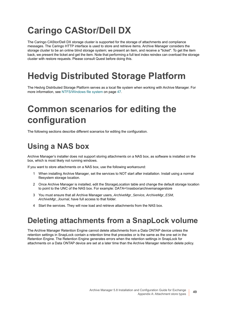# <span id="page-48-0"></span>**Caringo CAStor/Dell DX**

The Caringo CAStor/Dell DX storage cluster is supported for the storage of attachments and compliance messages. The Caringo HTTP interface is used to store and retrieve items. Archive Manager considers the storage cluster to be an online blind storage system; we present an item, and receive a "ticket". To get the item back, we present the ticket and get the item. Note that performing a full text index reindex can overload the storage cluster with restore requests. Please consult Quest before doing this.

# <span id="page-48-1"></span>**Hedvig Distributed Storage Platform**

The Hedvig Distributed Storage Platform serves as a local file system when working with Archive Manager. [For](#page-46-0)  [more information, see NTFS/Windows file system on page 47.](#page-46-0)

# <span id="page-48-2"></span>**Common scenarios for editing the configuration**

The following sections describe different scenarios for editing the configuration.

## <span id="page-48-3"></span>**Using a NAS box**

Archive Manager's installer does not support storing attachments on a NAS box, as software is installed on the box, which is most likely not running windows.

If you want to store attachments on a NAS box, use the following workaround:

- 1 When installing Archive Manager, set the services to NOT start after installation. Install using a normal filesystem storage location.
- 2 Once Archive Manager is installed, edit the StorageLocation table and change the default storage location to point to the UNC of the NAS box. For example: DATA=\\nasbox\archivemanagerstore
- 3 You must ensure that all Archive Manager users, *ArchiveMgr\_Service, ArchiveMgr\_ESM, ArchiveMgr\_Journal*, have full access to that folder.
- 4 Start the services. They will now load and retrieve attachments from the NAS box.

## <span id="page-48-4"></span>**Deleting attachments from a SnapLock volume**

The Archive Manager Retention Engine cannot delete attachments from a Data ONTAP device unless the retention settings in SnapLock contain a retention time that precedes or is the same as the one set in the Retention Engine. The Retention Engine generates errors when the retention settings in SnapLock for attachments on a Data ONTAP device are set at a later time than the Archive Manager retention delete policy.